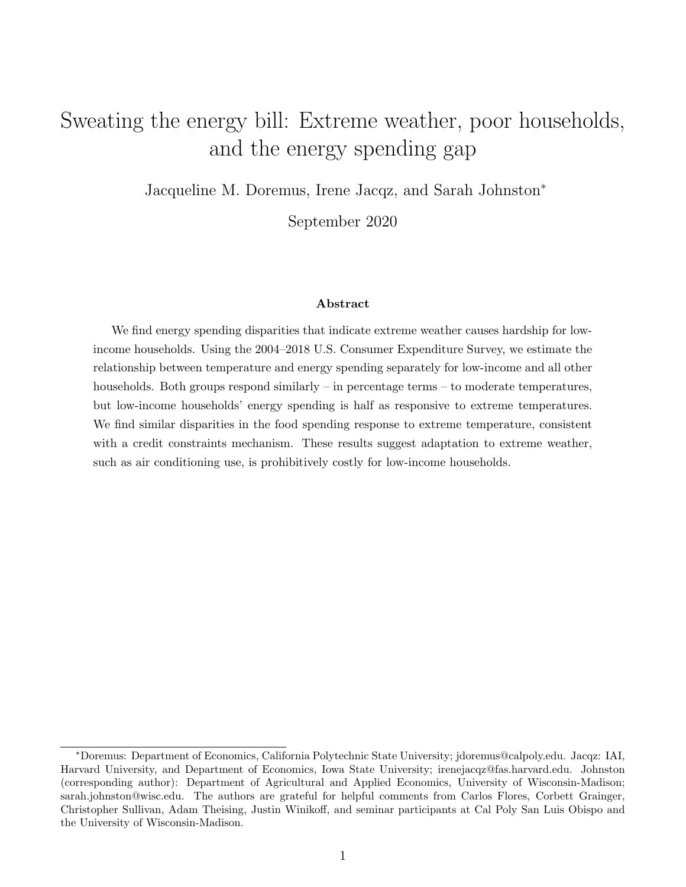# <span id="page-0-0"></span>Sweating the energy bill: Extreme weather, poor households, and the energy spending gap

Jacqueline M. Doremus, Irene Jacqz, and Sarah Johnston<sup>∗</sup>

September 2020

#### Abstract

We find energy spending disparities that indicate extreme weather causes hardship for lowincome households. Using the 2004–2018 U.S. Consumer Expenditure Survey, we estimate the relationship between temperature and energy spending separately for low-income and all other households. Both groups respond similarly – in percentage terms – to moderate temperatures, but low-income households' energy spending is half as responsive to extreme temperatures. We find similar disparities in the food spending response to extreme temperature, consistent with a credit constraints mechanism. These results suggest adaptation to extreme weather, such as air conditioning use, is prohibitively costly for low-income households.

<sup>∗</sup>Doremus: Department of Economics, California Polytechnic State University; jdoremus@calpoly.edu. Jacqz: IAI, Harvard University, and Department of Economics, Iowa State University; irenejacqz@fas.harvard.edu. Johnston (corresponding author): Department of Agricultural and Applied Economics, University of Wisconsin-Madison; sarah.johnston@wisc.edu. The authors are grateful for helpful comments from Carlos Flores, Corbett Grainger, Christopher Sullivan, Adam Theising, Justin Winikoff, and seminar participants at Cal Poly San Luis Obispo and the University of Wisconsin-Madison.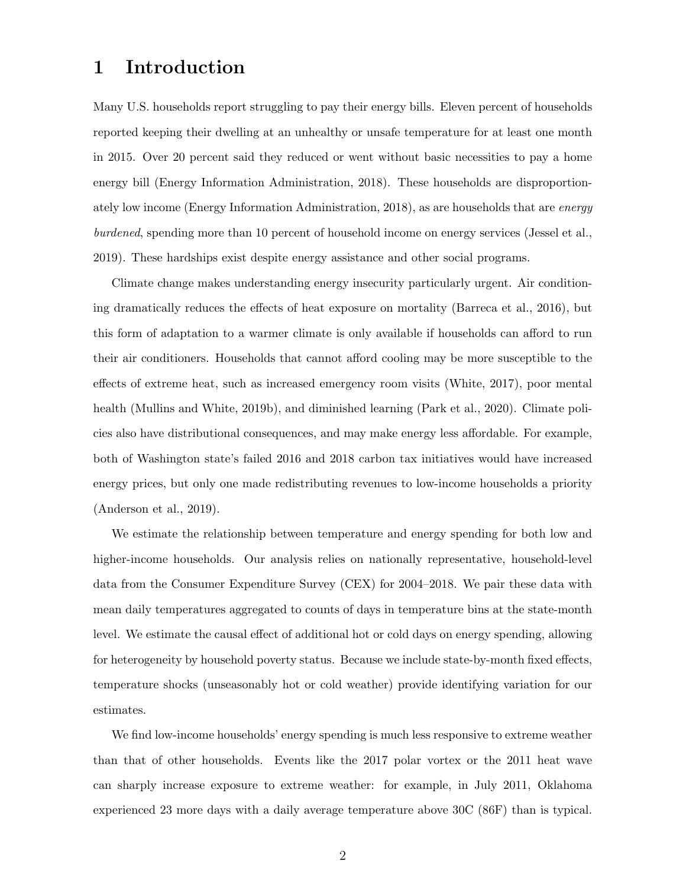## 1 Introduction

Many U.S. households report struggling to pay their energy bills. Eleven percent of households reported keeping their dwelling at an unhealthy or unsafe temperature for at least one month in 2015. Over 20 percent said they reduced or went without basic necessities to pay a home energy bill [\(Energy Information Administration, 2018\)](#page-15-0). These households are disproportion-ately low income [\(Energy Information Administration, 2018\)](#page-15-0), as are households that are *energy* burdened, spending more than 10 percent of household income on energy services [\(Jessel et al.,](#page-16-0) [2019\)](#page-16-0). These hardships exist despite energy assistance and other social programs.

Climate change makes understanding energy insecurity particularly urgent. Air conditioning dramatically reduces the effects of heat exposure on mortality [\(Barreca et al., 2016\)](#page-15-1), but this form of adaptation to a warmer climate is only available if households can afford to run their air conditioners. Households that cannot afford cooling may be more susceptible to the effects of extreme heat, such as increased emergency room visits [\(White, 2017\)](#page-17-0), poor mental health [\(Mullins and White, 2019b\)](#page-16-1), and diminished learning [\(Park et al., 2020\)](#page-16-2). Climate policies also have distributional consequences, and may make energy less affordable. For example, both of Washington state's failed 2016 and 2018 carbon tax initiatives would have increased energy prices, but only one made redistributing revenues to low-income households a priority [\(Anderson et al., 2019\)](#page-15-2).

We estimate the relationship between temperature and energy spending for both low and higher-income households. Our analysis relies on nationally representative, household-level data from the Consumer Expenditure Survey (CEX) for 2004–2018. We pair these data with mean daily temperatures aggregated to counts of days in temperature bins at the state-month level. We estimate the causal effect of additional hot or cold days on energy spending, allowing for heterogeneity by household poverty status. Because we include state-by-month fixed effects, temperature shocks (unseasonably hot or cold weather) provide identifying variation for our estimates.

We find low-income households' energy spending is much less responsive to extreme weather than that of other households. Events like the 2017 polar vortex or the 2011 heat wave can sharply increase exposure to extreme weather: for example, in July 2011, Oklahoma experienced 23 more days with a daily average temperature above 30C (86F) than is typical.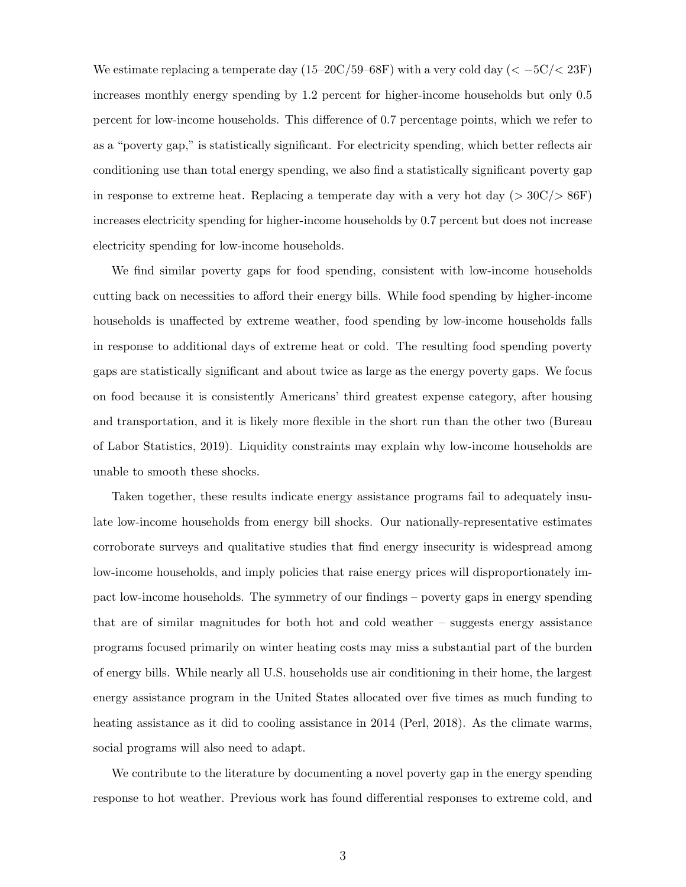We estimate replacing a temperate day (15–20C/59–68F) with a very cold day ( $\langle -5C \rangle \langle 23F \rangle$ increases monthly energy spending by 1.2 percent for higher-income households but only 0.5 percent for low-income households. This difference of 0.7 percentage points, which we refer to as a "poverty gap," is statistically significant. For electricity spending, which better reflects air conditioning use than total energy spending, we also find a statistically significant poverty gap in response to extreme heat. Replacing a temperate day with a very hot day ( $>30C/>86F$ ) increases electricity spending for higher-income households by 0.7 percent but does not increase electricity spending for low-income households.

We find similar poverty gaps for food spending, consistent with low-income households cutting back on necessities to afford their energy bills. While food spending by higher-income households is unaffected by extreme weather, food spending by low-income households falls in response to additional days of extreme heat or cold. The resulting food spending poverty gaps are statistically significant and about twice as large as the energy poverty gaps. We focus on food because it is consistently Americans' third greatest expense category, after housing and transportation, and it is likely more flexible in the short run than the other two [\(Bureau](#page-15-3) [of Labor Statistics, 2019\)](#page-15-3). Liquidity constraints may explain why low-income households are unable to smooth these shocks.

Taken together, these results indicate energy assistance programs fail to adequately insulate low-income households from energy bill shocks. Our nationally-representative estimates corroborate surveys and qualitative studies that find energy insecurity is widespread among low-income households, and imply policies that raise energy prices will disproportionately impact low-income households. The symmetry of our findings – poverty gaps in energy spending that are of similar magnitudes for both hot and cold weather – suggests energy assistance programs focused primarily on winter heating costs may miss a substantial part of the burden of energy bills. While nearly all U.S. households use air conditioning in their home, the largest energy assistance program in the United States allocated over five times as much funding to heating assistance as it did to cooling assistance in 2014 [\(Perl, 2018\)](#page-16-3). As the climate warms, social programs will also need to adapt.

We contribute to the literature by documenting a novel poverty gap in the energy spending response to hot weather. Previous work has found differential responses to extreme cold, and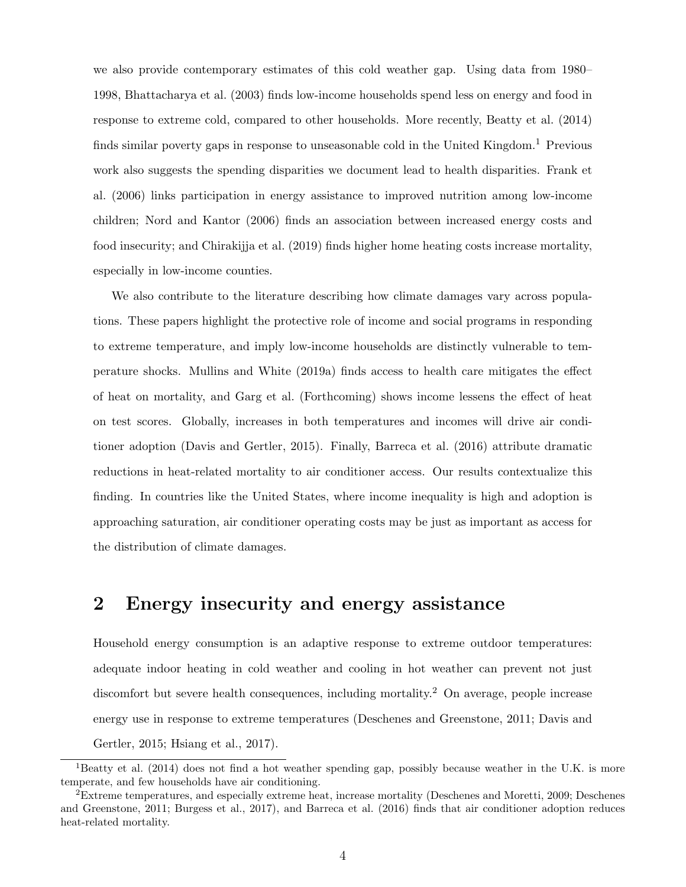we also provide contemporary estimates of this cold weather gap. Using data from 1980– 1998, [Bhattacharya et al.](#page-15-4) [\(2003\)](#page-15-4) finds low-income households spend less on energy and food in response to extreme cold, compared to other households. More recently, [Beatty et al.](#page-15-5) [\(2014\)](#page-15-5) finds similar poverty gaps in response to unseasonable cold in the United Kingdom.<sup>[1](#page-0-0)</sup> Previous work also suggests the spending disparities we document lead to health disparities. [Frank et](#page-16-4) [al.](#page-16-4) [\(2006\)](#page-16-4) links participation in energy assistance to improved nutrition among low-income children; [Nord and Kantor](#page-16-5) [\(2006\)](#page-16-5) finds an association between increased energy costs and food insecurity; and [Chirakijja et al.](#page-15-6) [\(2019\)](#page-15-6) finds higher home heating costs increase mortality, especially in low-income counties.

We also contribute to the literature describing how climate damages vary across populations. These papers highlight the protective role of income and social programs in responding to extreme temperature, and imply low-income households are distinctly vulnerable to temperature shocks. [Mullins and White](#page-16-6) [\(2019a\)](#page-16-6) finds access to health care mitigates the effect of heat on mortality, and [Garg et al.](#page-16-7) [\(Forthcoming\)](#page-16-7) shows income lessens the effect of heat on test scores. Globally, increases in both temperatures and incomes will drive air conditioner adoption [\(Davis and Gertler, 2015\)](#page-15-7). Finally, [Barreca et al.](#page-15-1) [\(2016\)](#page-15-1) attribute dramatic reductions in heat-related mortality to air conditioner access. Our results contextualize this finding. In countries like the United States, where income inequality is high and adoption is approaching saturation, air conditioner operating costs may be just as important as access for the distribution of climate damages.

# 2 Energy insecurity and energy assistance

Household energy consumption is an adaptive response to extreme outdoor temperatures: adequate indoor heating in cold weather and cooling in hot weather can prevent not just discomfort but severe health consequences, including mortality.<sup>[2](#page-0-0)</sup> On average, people increase energy use in response to extreme temperatures [\(Deschenes and Greenstone, 2011;](#page-15-8) [Davis and](#page-15-7) [Gertler, 2015;](#page-15-7) [Hsiang et al., 2017\)](#page-16-8).

<sup>&</sup>lt;sup>1</sup>[Beatty et al.](#page-15-5) [\(2014\)](#page-15-5) does not find a hot weather spending gap, possibly because weather in the U.K. is more temperate, and few households have air conditioning.

<sup>2</sup>Extreme temperatures, and especially extreme heat, increase mortality [\(Deschenes and Moretti, 2009;](#page-15-9) [Deschenes](#page-15-8) [and Greenstone, 2011;](#page-15-8) [Burgess et al., 2017\)](#page-15-10), and [Barreca et al.](#page-15-1) [\(2016\)](#page-15-1) finds that air conditioner adoption reduces heat-related mortality.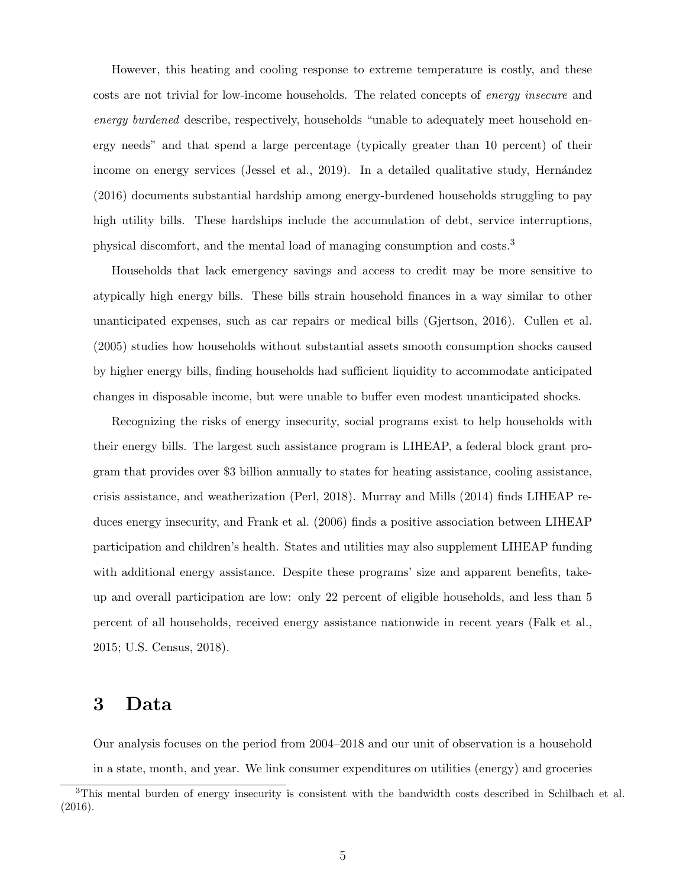However, this heating and cooling response to extreme temperature is costly, and these costs are not trivial for low-income households. The related concepts of energy insecure and energy burdened describe, respectively, households "unable to adequately meet household energy needs" and that spend a large percentage (typically greater than 10 percent) of their income on energy services [\(Jessel et al., 2019\)](#page-16-0). In a detailed qualitative study, Hernández [\(2016\)](#page-16-9) documents substantial hardship among energy-burdened households struggling to pay high utility bills. These hardships include the accumulation of debt, service interruptions, physical discomfort, and the mental load of managing consumption and costs.[3](#page-0-0)

Households that lack emergency savings and access to credit may be more sensitive to atypically high energy bills. These bills strain household finances in a way similar to other unanticipated expenses, such as car repairs or medical bills [\(Gjertson, 2016\)](#page-16-10). [Cullen et al.](#page-15-11) [\(2005\)](#page-15-11) studies how households without substantial assets smooth consumption shocks caused by higher energy bills, finding households had sufficient liquidity to accommodate anticipated changes in disposable income, but were unable to buffer even modest unanticipated shocks.

Recognizing the risks of energy insecurity, social programs exist to help households with their energy bills. The largest such assistance program is LIHEAP, a federal block grant program that provides over \$3 billion annually to states for heating assistance, cooling assistance, crisis assistance, and weatherization [\(Perl, 2018\)](#page-16-3). [Murray and Mills](#page-16-11) [\(2014\)](#page-16-11) finds LIHEAP reduces energy insecurity, and [Frank et al.](#page-16-4) [\(2006\)](#page-16-4) finds a positive association between LIHEAP participation and children's health. States and utilities may also supplement LIHEAP funding with additional energy assistance. Despite these programs' size and apparent benefits, takeup and overall participation are low: only 22 percent of eligible households, and less than 5 percent of all households, received energy assistance nationwide in recent years [\(Falk et al.,](#page-15-12) [2015;](#page-15-12) [U.S. Census, 2018\)](#page-17-1).

### 3 Data

Our analysis focuses on the period from 2004–2018 and our unit of observation is a household in a state, month, and year. We link consumer expenditures on utilities (energy) and groceries

<sup>&</sup>lt;sup>3</sup>This mental burden of energy insecurity is consistent with the bandwidth costs described in [Schilbach et al.](#page-17-2) [\(2016\)](#page-17-2).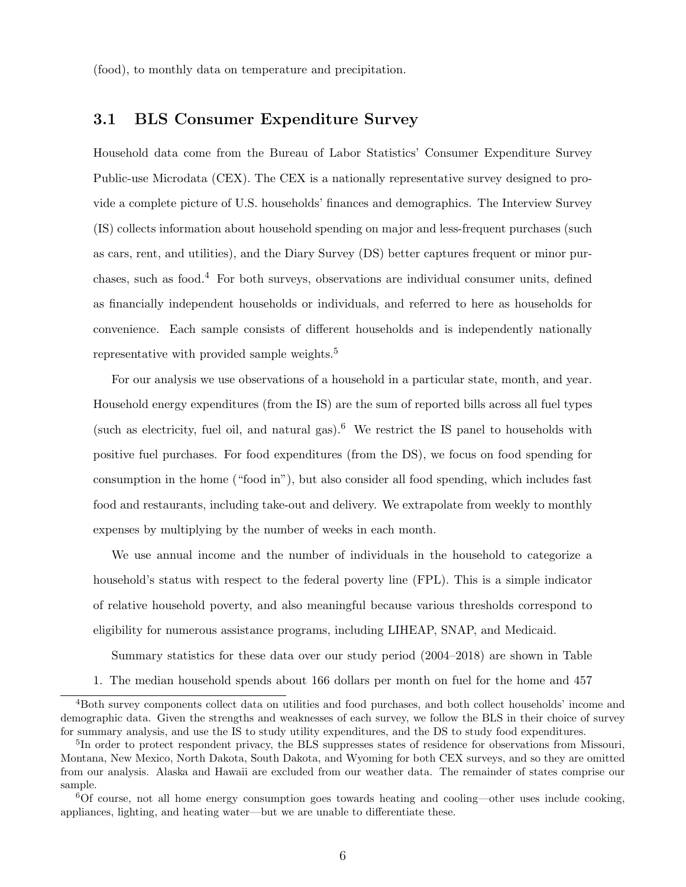(food), to monthly data on temperature and precipitation.

#### 3.1 BLS Consumer Expenditure Survey

Household data come from the Bureau of Labor Statistics' Consumer Expenditure Survey Public-use Microdata (CEX). The CEX is a nationally representative survey designed to provide a complete picture of U.S. households' finances and demographics. The Interview Survey (IS) collects information about household spending on major and less-frequent purchases (such as cars, rent, and utilities), and the Diary Survey (DS) better captures frequent or minor purchases, such as food.[4](#page-0-0) For both surveys, observations are individual consumer units, defined as financially independent households or individuals, and referred to here as households for convenience. Each sample consists of different households and is independently nationally representative with provided sample weights.<sup>[5](#page-0-0)</sup>

For our analysis we use observations of a household in a particular state, month, and year. Household energy expenditures (from the IS) are the sum of reported bills across all fuel types (such as electricity, fuel oil, and natural gas).<sup>[6](#page-0-0)</sup> We restrict the IS panel to households with positive fuel purchases. For food expenditures (from the DS), we focus on food spending for consumption in the home ("food in"), but also consider all food spending, which includes fast food and restaurants, including take-out and delivery. We extrapolate from weekly to monthly expenses by multiplying by the number of weeks in each month.

We use annual income and the number of individuals in the household to categorize a household's status with respect to the federal poverty line (FPL). This is a simple indicator of relative household poverty, and also meaningful because various thresholds correspond to eligibility for numerous assistance programs, including LIHEAP, SNAP, and Medicaid.

Summary statistics for these data over our study period (2004–2018) are shown in Table

[1.](#page-18-0) The median household spends about 166 dollars per month on fuel for the home and 457

<sup>4</sup>Both survey components collect data on utilities and food purchases, and both collect households' income and demographic data. Given the strengths and weaknesses of each survey, we follow the BLS in their choice of survey for summary analysis, and use the IS to study utility expenditures, and the DS to study food expenditures.

<sup>&</sup>lt;sup>5</sup>In order to protect respondent privacy, the BLS suppresses states of residence for observations from Missouri, Montana, New Mexico, North Dakota, South Dakota, and Wyoming for both CEX surveys, and so they are omitted from our analysis. Alaska and Hawaii are excluded from our weather data. The remainder of states comprise our sample.

<sup>6</sup>Of course, not all home energy consumption goes towards heating and cooling—other uses include cooking, appliances, lighting, and heating water—but we are unable to differentiate these.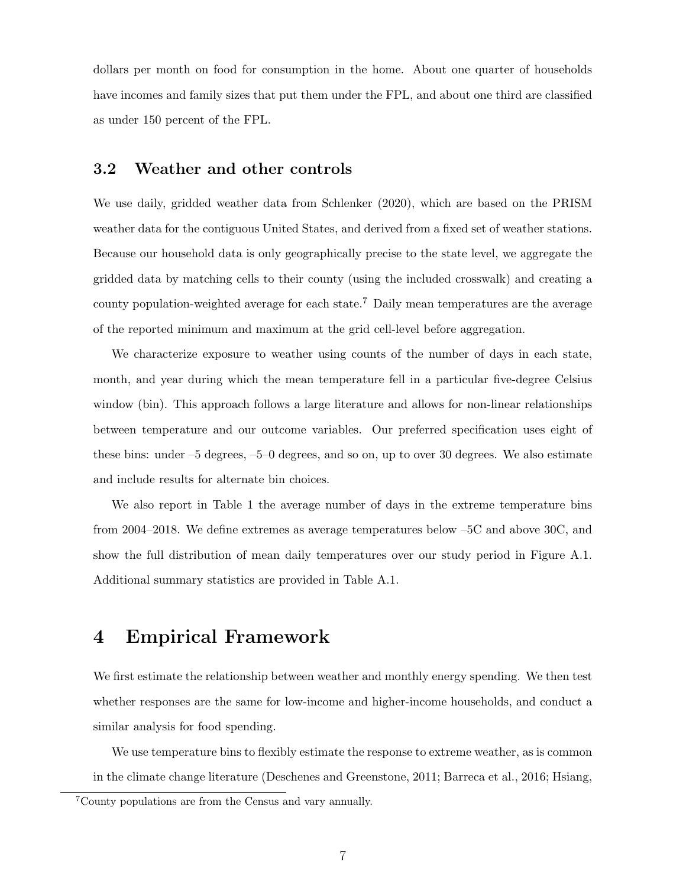dollars per month on food for consumption in the home. About one quarter of households have incomes and family sizes that put them under the FPL, and about one third are classified as under 150 percent of the FPL.

#### 3.2 Weather and other controls

We use daily, gridded weather data from [Schlenker](#page-17-3) [\(2020\)](#page-17-3), which are based on the PRISM weather data for the contiguous United States, and derived from a fixed set of weather stations. Because our household data is only geographically precise to the state level, we aggregate the gridded data by matching cells to their county (using the included crosswalk) and creating a county population-weighted average for each state.<sup>[7](#page-0-0)</sup> Daily mean temperatures are the average of the reported minimum and maximum at the grid cell-level before aggregation.

We characterize exposure to weather using counts of the number of days in each state, month, and year during which the mean temperature fell in a particular five-degree Celsius window (bin). This approach follows a large literature and allows for non-linear relationships between temperature and our outcome variables. Our preferred specification uses eight of these bins: under –5 degrees, –5–0 degrees, and so on, up to over 30 degrees. We also estimate and include results for alternate bin choices.

We also report in Table [1](#page-18-0) the average number of days in the extreme temperature bins from 2004–2018. We define extremes as average temperatures below –5C and above 30C, and show the full distribution of mean daily temperatures over our study period in Figure [A.1.](#page-19-0) Additional summary statistics are provided in Table [A.1.](#page-18-0)

## 4 Empirical Framework

We first estimate the relationship between weather and monthly energy spending. We then test whether responses are the same for low-income and higher-income households, and conduct a similar analysis for food spending.

We use temperature bins to flexibly estimate the response to extreme weather, as is common in the climate change literature [\(Deschenes and Greenstone, 2011;](#page-15-8) [Barreca et al., 2016;](#page-15-1) [Hsiang,](#page-16-12)

<sup>7</sup>County populations are from the Census and vary annually.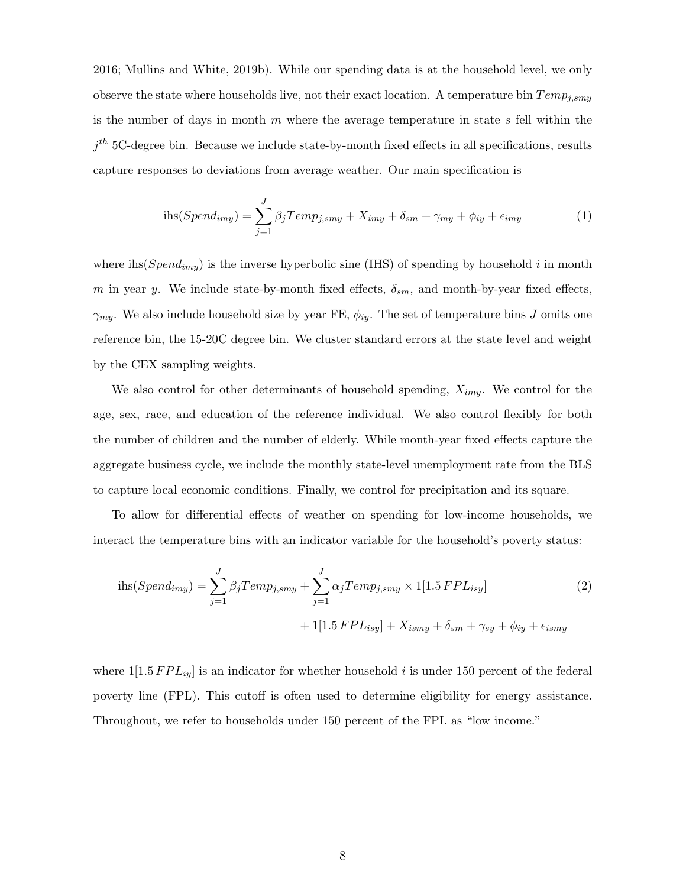[2016;](#page-16-12) [Mullins and White, 2019b\)](#page-16-1). While our spending data is at the household level, we only observe the state where households live, not their exact location. A temperature bin  $Temp_{j, smy}$ is the number of days in month  $m$  where the average temperature in state  $s$  fell within the  $j<sup>th</sup>$  5C-degree bin. Because we include state-by-month fixed effects in all specifications, results capture responses to deviations from average weather. Our main specification is

<span id="page-7-1"></span>
$$
i\text{hs}(Spend_{imy}) = \sum_{j=1}^{J} \beta_j Temp_{j, smy} + X_{imy} + \delta_{sm} + \gamma_{my} + \phi_{iy} + \epsilon_{imy}
$$
(1)

where ihs  $(Spend_{imy})$  is the inverse hyperbolic sine (IHS) of spending by household i in month m in year y. We include state-by-month fixed effects,  $\delta_{sm}$ , and month-by-year fixed effects,  $\gamma_{my}$ . We also include household size by year FE,  $\phi_{iy}$ . The set of temperature bins J omits one reference bin, the 15-20C degree bin. We cluster standard errors at the state level and weight by the CEX sampling weights.

We also control for other determinants of household spending,  $X_{imy}$ . We control for the age, sex, race, and education of the reference individual. We also control flexibly for both the number of children and the number of elderly. While month-year fixed effects capture the aggregate business cycle, we include the monthly state-level unemployment rate from the BLS to capture local economic conditions. Finally, we control for precipitation and its square.

To allow for differential effects of weather on spending for low-income households, we interact the temperature bins with an indicator variable for the household's poverty status:

<span id="page-7-0"></span>
$$
\text{ihs}(Spend_{imy}) = \sum_{j=1}^{J} \beta_j Temp_{j,smy} + \sum_{j=1}^{J} \alpha_j Temp_{j,smy} \times 1[1.5 FPL_{isy}]
$$
\n
$$
+ 1[1.5 FPL_{isy}] + X_{ismy} + \delta_{sm} + \gamma_{sy} + \phi_{iy} + \epsilon_{ismy}
$$
\n
$$
(2)
$$

where  $1[1.5 FPL_{iy}]$  is an indicator for whether household i is under 150 percent of the federal poverty line (FPL). This cutoff is often used to determine eligibility for energy assistance. Throughout, we refer to households under 150 percent of the FPL as "low income."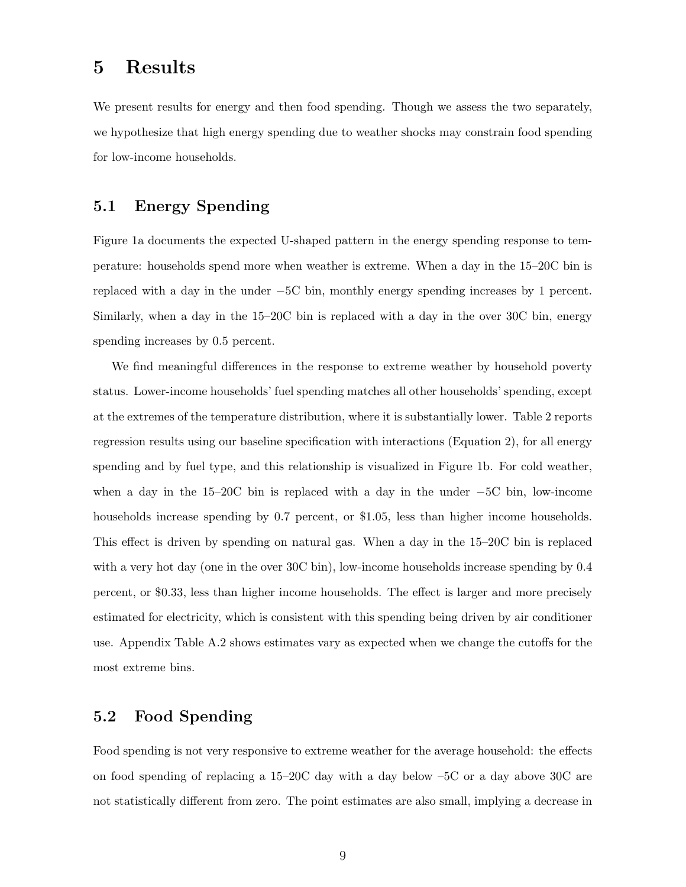## 5 Results

We present results for energy and then food spending. Though we assess the two separately, we hypothesize that high energy spending due to weather shocks may constrain food spending for low-income households.

#### 5.1 Energy Spending

Figure [1a](#page-19-0) documents the expected U-shaped pattern in the energy spending response to temperature: households spend more when weather is extreme. When a day in the 15–20C bin is replaced with a day in the under −5C bin, monthly energy spending increases by 1 percent. Similarly, when a day in the 15–20C bin is replaced with a day in the over 30C bin, energy spending increases by 0.5 percent.

We find meaningful differences in the response to extreme weather by household poverty status. Lower-income households' fuel spending matches all other households' spending, except at the extremes of the temperature distribution, where it is substantially lower. Table [2](#page-20-0) reports regression results using our baseline specification with interactions (Equation [2\)](#page-7-0), for all energy spending and by fuel type, and this relationship is visualized in Figure [1b](#page-19-0). For cold weather, when a day in the 15–20C bin is replaced with a day in the under −5C bin, low-income households increase spending by 0.7 percent, or \$1.05, less than higher income households. This effect is driven by spending on natural gas. When a day in the 15–20C bin is replaced with a very hot day (one in the over 30C bin), low-income households increase spending by 0.4 percent, or \$0.33, less than higher income households. The effect is larger and more precisely estimated for electricity, which is consistent with this spending being driven by air conditioner use. Appendix Table [A.2](#page-20-0) shows estimates vary as expected when we change the cutoffs for the most extreme bins.

### 5.2 Food Spending

Food spending is not very responsive to extreme weather for the average household: the effects on food spending of replacing a 15–20C day with a day below –5C or a day above 30C are not statistically different from zero. The point estimates are also small, implying a decrease in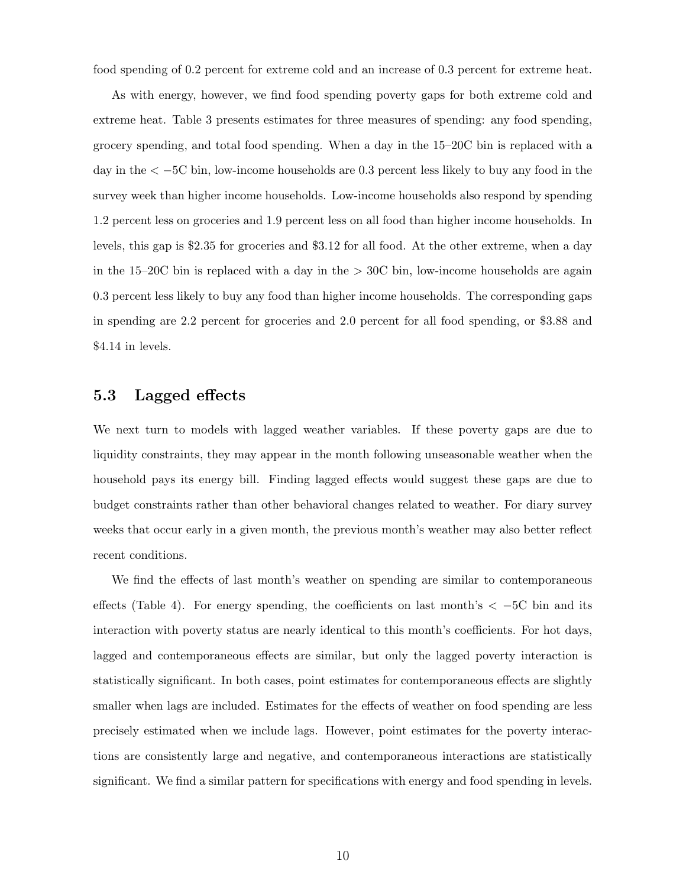food spending of 0.2 percent for extreme cold and an increase of 0.3 percent for extreme heat.

As with energy, however, we find food spending poverty gaps for both extreme cold and extreme heat. Table [3](#page-21-0) presents estimates for three measures of spending: any food spending, grocery spending, and total food spending. When a day in the 15–20C bin is replaced with a day in the < −5C bin, low-income households are 0.3 percent less likely to buy any food in the survey week than higher income households. Low-income households also respond by spending 1.2 percent less on groceries and 1.9 percent less on all food than higher income households. In levels, this gap is \$2.35 for groceries and \$3.12 for all food. At the other extreme, when a day in the  $15-20C$  bin is replaced with a day in the  $> 30C$  bin, low-income households are again 0.3 percent less likely to buy any food than higher income households. The corresponding gaps in spending are 2.2 percent for groceries and 2.0 percent for all food spending, or \$3.88 and \$4.14 in levels.

#### 5.3 Lagged effects

We next turn to models with lagged weather variables. If these poverty gaps are due to liquidity constraints, they may appear in the month following unseasonable weather when the household pays its energy bill. Finding lagged effects would suggest these gaps are due to budget constraints rather than other behavioral changes related to weather. For diary survey weeks that occur early in a given month, the previous month's weather may also better reflect recent conditions.

We find the effects of last month's weather on spending are similar to contemporaneous effects (Table [4\)](#page-22-0). For energy spending, the coefficients on last month's  $\lt$  -5C bin and its interaction with poverty status are nearly identical to this month's coefficients. For hot days, lagged and contemporaneous effects are similar, but only the lagged poverty interaction is statistically significant. In both cases, point estimates for contemporaneous effects are slightly smaller when lags are included. Estimates for the effects of weather on food spending are less precisely estimated when we include lags. However, point estimates for the poverty interactions are consistently large and negative, and contemporaneous interactions are statistically significant. We find a similar pattern for specifications with energy and food spending in levels.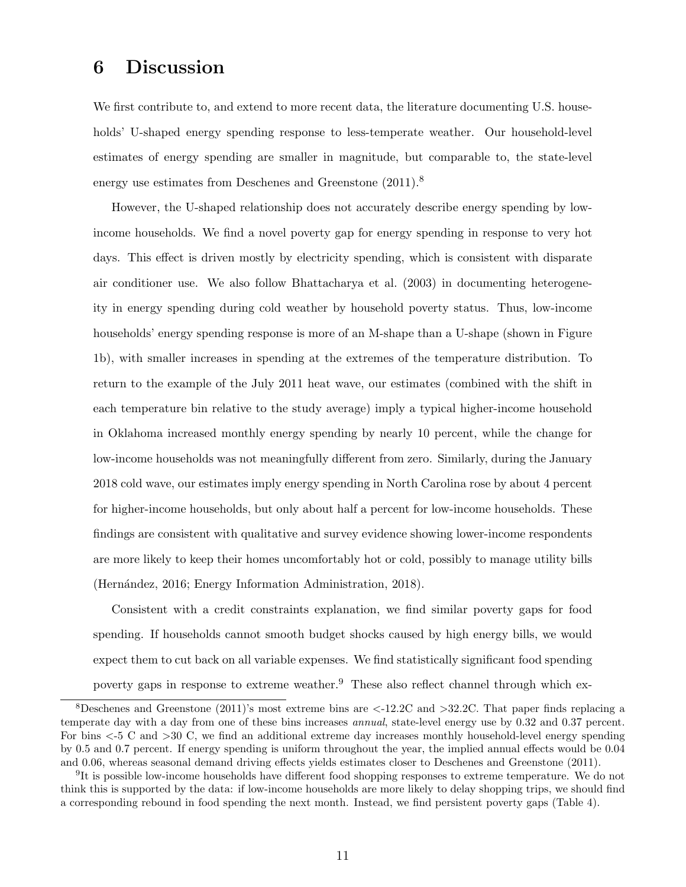## 6 Discussion

We first contribute to, and extend to more recent data, the literature documenting U.S. households' U-shaped energy spending response to less-temperate weather. Our household-level estimates of energy spending are smaller in magnitude, but comparable to, the state-level energy use estimates from [Deschenes and Greenstone](#page-15-8) [\(2011\)](#page-15-8).<sup>[8](#page-0-0)</sup>

However, the U-shaped relationship does not accurately describe energy spending by lowincome households. We find a novel poverty gap for energy spending in response to very hot days. This effect is driven mostly by electricity spending, which is consistent with disparate air conditioner use. We also follow [Bhattacharya et al.](#page-15-4) [\(2003\)](#page-15-4) in documenting heterogeneity in energy spending during cold weather by household poverty status. Thus, low-income households' energy spending response is more of an M-shape than a U-shape (shown in Figure [1b](#page-19-0)), with smaller increases in spending at the extremes of the temperature distribution. To return to the example of the July 2011 heat wave, our estimates (combined with the shift in each temperature bin relative to the study average) imply a typical higher-income household in Oklahoma increased monthly energy spending by nearly 10 percent, while the change for low-income households was not meaningfully different from zero. Similarly, during the January 2018 cold wave, our estimates imply energy spending in North Carolina rose by about 4 percent for higher-income households, but only about half a percent for low-income households. These findings are consistent with qualitative and survey evidence showing lower-income respondents are more likely to keep their homes uncomfortably hot or cold, possibly to manage utility bills (Hernández, 2016; [Energy Information Administration, 2018\)](#page-15-0).

Consistent with a credit constraints explanation, we find similar poverty gaps for food spending. If households cannot smooth budget shocks caused by high energy bills, we would expect them to cut back on all variable expenses. We find statistically significant food spending poverty gaps in response to extreme weather.<sup>[9](#page-0-0)</sup> These also reflect channel through which ex-

<sup>&</sup>lt;sup>8</sup>[Deschenes and Greenstone](#page-15-8) [\(2011\)](#page-15-8)'s most extreme bins are  $\lt$ -12.2C and  $>32.2C$ . That paper finds replacing a temperate day with a day from one of these bins increases annual, state-level energy use by 0.32 and 0.37 percent. For bins <-5 C and >30 C, we find an additional extreme day increases monthly household-level energy spending by 0.5 and 0.7 percent. If energy spending is uniform throughout the year, the implied annual effects would be 0.04 and 0.06, whereas seasonal demand driving effects yields estimates closer to [Deschenes and Greenstone](#page-15-8) [\(2011\)](#page-15-8).

<sup>&</sup>lt;sup>9</sup>It is possible low-income households have different food shopping responses to extreme temperature. We do not think this is supported by the data: if low-income households are more likely to delay shopping trips, we should find a corresponding rebound in food spending the next month. Instead, we find persistent poverty gaps (Table [4\)](#page-22-0).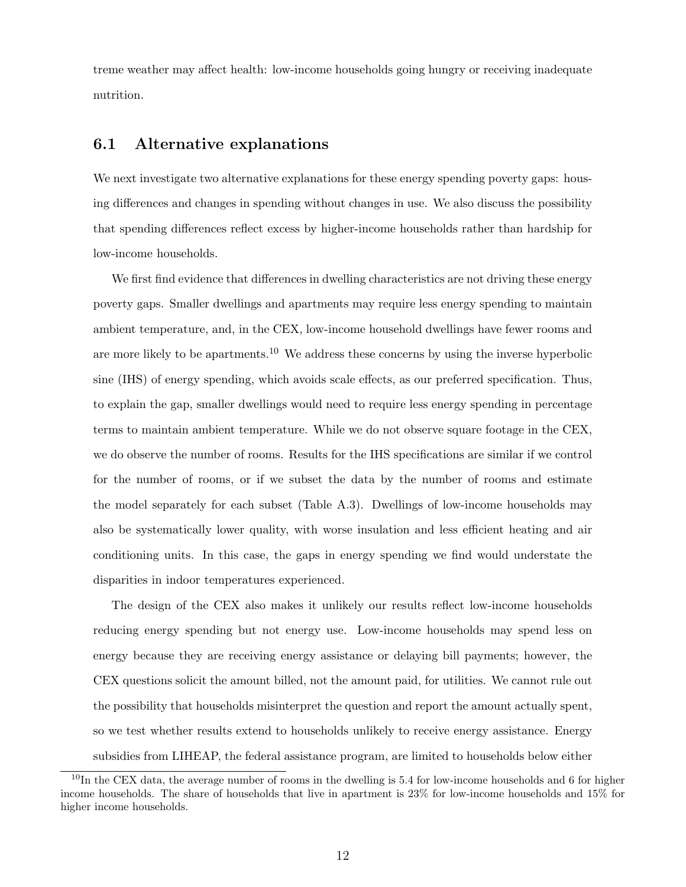treme weather may affect health: low-income households going hungry or receiving inadequate nutrition.

#### 6.1 Alternative explanations

We next investigate two alternative explanations for these energy spending poverty gaps: housing differences and changes in spending without changes in use. We also discuss the possibility that spending differences reflect excess by higher-income households rather than hardship for low-income households.

We first find evidence that differences in dwelling characteristics are not driving these energy poverty gaps. Smaller dwellings and apartments may require less energy spending to maintain ambient temperature, and, in the CEX, low-income household dwellings have fewer rooms and are more likely to be apartments.<sup>[10](#page-0-0)</sup> We address these concerns by using the inverse hyperbolic sine (IHS) of energy spending, which avoids scale effects, as our preferred specification. Thus, to explain the gap, smaller dwellings would need to require less energy spending in percentage terms to maintain ambient temperature. While we do not observe square footage in the CEX, we do observe the number of rooms. Results for the IHS specifications are similar if we control for the number of rooms, or if we subset the data by the number of rooms and estimate the model separately for each subset (Table [A.3\)](#page-21-0). Dwellings of low-income households may also be systematically lower quality, with worse insulation and less efficient heating and air conditioning units. In this case, the gaps in energy spending we find would understate the disparities in indoor temperatures experienced.

The design of the CEX also makes it unlikely our results reflect low-income households reducing energy spending but not energy use. Low-income households may spend less on energy because they are receiving energy assistance or delaying bill payments; however, the CEX questions solicit the amount billed, not the amount paid, for utilities. We cannot rule out the possibility that households misinterpret the question and report the amount actually spent, so we test whether results extend to households unlikely to receive energy assistance. Energy subsidies from LIHEAP, the federal assistance program, are limited to households below either

 $10$ In the CEX data, the average number of rooms in the dwelling is 5.4 for low-income households and 6 for higher income households. The share of households that live in apartment is 23% for low-income households and 15% for higher income households.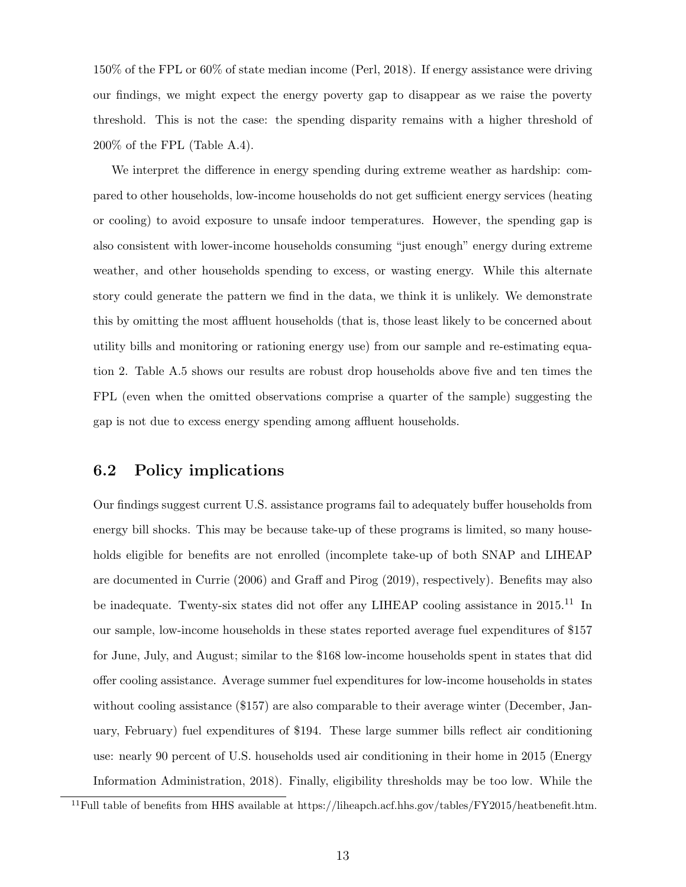150% of the FPL or 60% of state median income [\(Perl, 2018\)](#page-16-3). If energy assistance were driving our findings, we might expect the energy poverty gap to disappear as we raise the poverty threshold. This is not the case: the spending disparity remains with a higher threshold of 200% of the FPL (Table [A.4\)](#page-22-0).

We interpret the difference in energy spending during extreme weather as hardship: compared to other households, low-income households do not get sufficient energy services (heating or cooling) to avoid exposure to unsafe indoor temperatures. However, the spending gap is also consistent with lower-income households consuming "just enough" energy during extreme weather, and other households spending to excess, or wasting energy. While this alternate story could generate the pattern we find in the data, we think it is unlikely. We demonstrate this by omitting the most affluent households (that is, those least likely to be concerned about utility bills and monitoring or rationing energy use) from our sample and re-estimating equation [2.](#page-7-0) Table [A.5](#page-28-0) shows our results are robust drop households above five and ten times the FPL (even when the omitted observations comprise a quarter of the sample) suggesting the gap is not due to excess energy spending among affluent households.

#### 6.2 Policy implications

Our findings suggest current U.S. assistance programs fail to adequately buffer households from energy bill shocks. This may be because take-up of these programs is limited, so many households eligible for benefits are not enrolled (incomplete take-up of both SNAP and LIHEAP are documented in [Currie](#page-15-13) [\(2006\)](#page-15-13) and [Graff and Pirog](#page-16-13) [\(2019\)](#page-16-13), respectively). Benefits may also be inadequate. Twenty-six states did not offer any LIHEAP cooling assistance in  $2015$ .<sup>[11](#page-0-0)</sup> In our sample, low-income households in these states reported average fuel expenditures of \$157 for June, July, and August; similar to the \$168 low-income households spent in states that did offer cooling assistance. Average summer fuel expenditures for low-income households in states without cooling assistance (\$157) are also comparable to their average winter (December, January, February) fuel expenditures of \$194. These large summer bills reflect air conditioning use: nearly 90 percent of U.S. households used air conditioning in their home in 2015 [\(Energy](#page-15-0) [Information Administration, 2018\)](#page-15-0). Finally, eligibility thresholds may be too low. While the

<sup>&</sup>lt;sup>11</sup>Full table of benefits from HHS available at https://liheapch.acf.hhs.gov/tables/FY2015/heatbenefit.htm.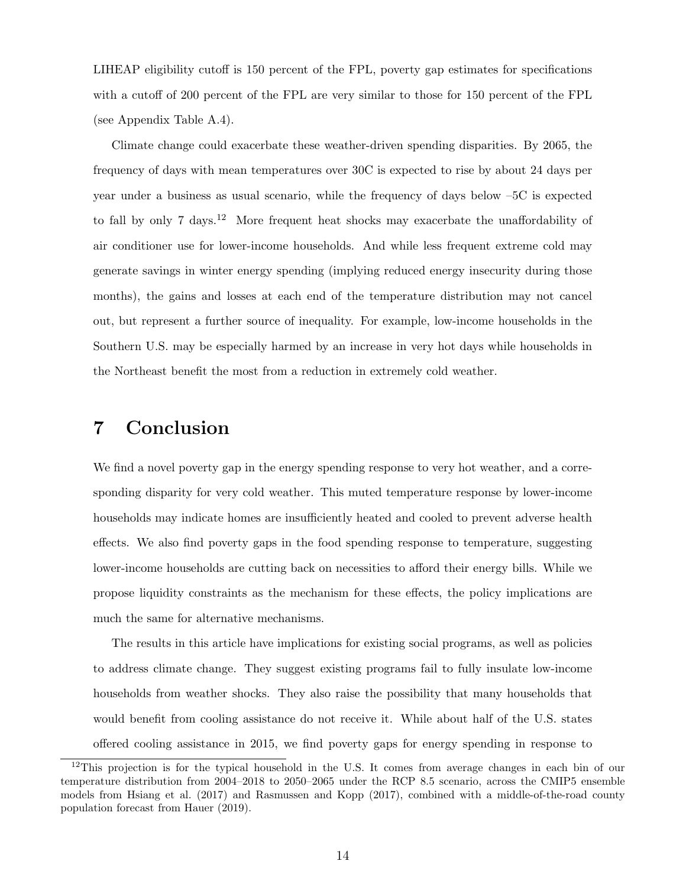LIHEAP eligibility cutoff is 150 percent of the FPL, poverty gap estimates for specifications with a cutoff of 200 percent of the FPL are very similar to those for 150 percent of the FPL (see Appendix Table [A.4\)](#page-22-0).

Climate change could exacerbate these weather-driven spending disparities. By 2065, the frequency of days with mean temperatures over 30C is expected to rise by about 24 days per year under a business as usual scenario, while the frequency of days below –5C is expected to fall by only 7 days.<sup>[12](#page-0-0)</sup> More frequent heat shocks may exacerbate the unaffordability of air conditioner use for lower-income households. And while less frequent extreme cold may generate savings in winter energy spending (implying reduced energy insecurity during those months), the gains and losses at each end of the temperature distribution may not cancel out, but represent a further source of inequality. For example, low-income households in the Southern U.S. may be especially harmed by an increase in very hot days while households in the Northeast benefit the most from a reduction in extremely cold weather.

## 7 Conclusion

We find a novel poverty gap in the energy spending response to very hot weather, and a corresponding disparity for very cold weather. This muted temperature response by lower-income households may indicate homes are insufficiently heated and cooled to prevent adverse health effects. We also find poverty gaps in the food spending response to temperature, suggesting lower-income households are cutting back on necessities to afford their energy bills. While we propose liquidity constraints as the mechanism for these effects, the policy implications are much the same for alternative mechanisms.

The results in this article have implications for existing social programs, as well as policies to address climate change. They suggest existing programs fail to fully insulate low-income households from weather shocks. They also raise the possibility that many households that would benefit from cooling assistance do not receive it. While about half of the U.S. states offered cooling assistance in 2015, we find poverty gaps for energy spending in response to

 $12$ This projection is for the typical household in the U.S. It comes from average changes in each bin of our temperature distribution from 2004–2018 to 2050–2065 under the RCP 8.5 scenario, across the CMIP5 ensemble models from [Hsiang et al.](#page-16-8) [\(2017\)](#page-16-8) and [Rasmussen and Kopp](#page-16-14) [\(2017\)](#page-16-14), combined with a middle-of-the-road county population forecast from [Hauer](#page-16-15) [\(2019\)](#page-16-15).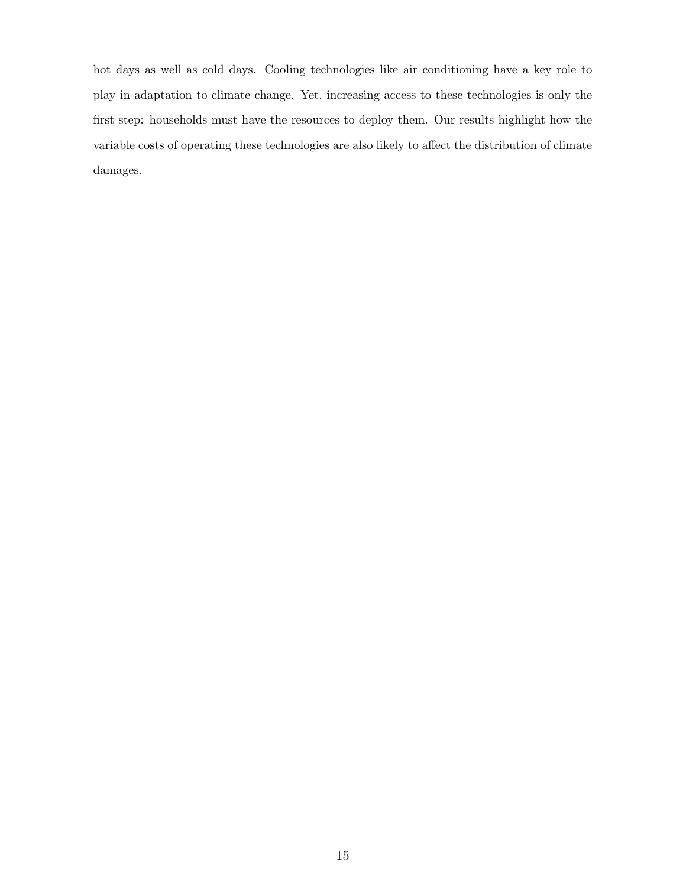hot days as well as cold days. Cooling technologies like air conditioning have a key role to play in adaptation to climate change. Yet, increasing access to these technologies is only the first step: households must have the resources to deploy them. Our results highlight how the variable costs of operating these technologies are also likely to affect the distribution of climate damages.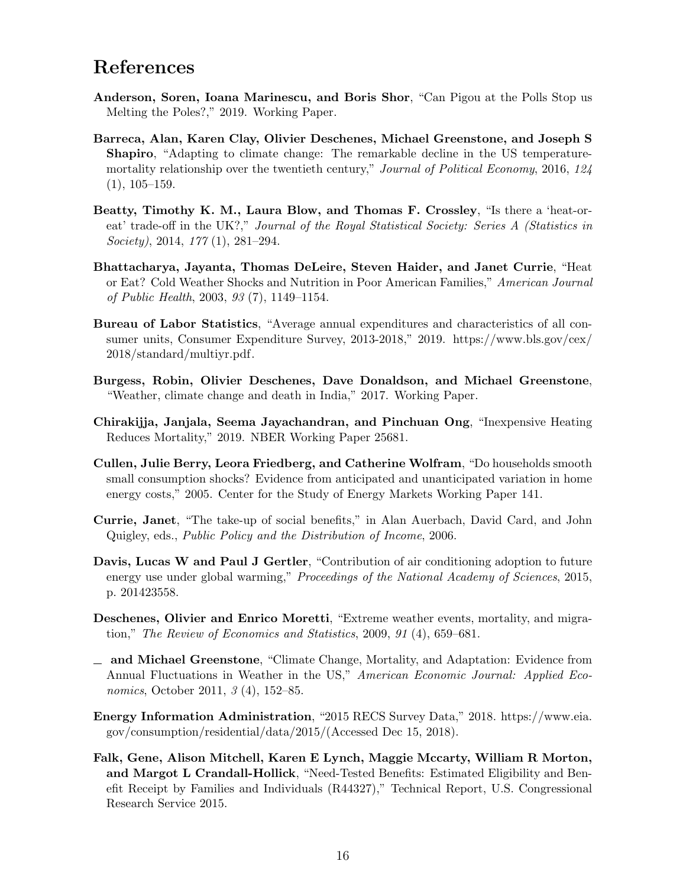## References

- <span id="page-15-2"></span>Anderson, Soren, Ioana Marinescu, and Boris Shor, "Can Pigou at the Polls Stop us Melting the Poles?," 2019. Working Paper.
- <span id="page-15-1"></span>Barreca, Alan, Karen Clay, Olivier Deschenes, Michael Greenstone, and Joseph S Shapiro, "Adapting to climate change: The remarkable decline in the US temperaturemortality relationship over the twentieth century," Journal of Political Economy, 2016, 124  $(1), 105-159.$
- <span id="page-15-5"></span>Beatty, Timothy K. M., Laura Blow, and Thomas F. Crossley, "Is there a 'heat-oreat' trade-off in the UK?," Journal of the Royal Statistical Society: Series A (Statistics in Society), 2014, 177 (1), 281–294.
- <span id="page-15-4"></span>Bhattacharya, Jayanta, Thomas DeLeire, Steven Haider, and Janet Currie, "Heat or Eat? Cold Weather Shocks and Nutrition in Poor American Families," American Journal of Public Health, 2003, 93 (7), 1149–1154.
- <span id="page-15-3"></span>Bureau of Labor Statistics, "Average annual expenditures and characteristics of all consumer units, Consumer Expenditure Survey, 2013-2018," 2019. [https://www.bls.gov/cex/](https://www.bls.gov/cex/2018/standard/multiyr.pdf) [2018/standard/multiyr.pdf.](https://www.bls.gov/cex/2018/standard/multiyr.pdf)
- <span id="page-15-10"></span>Burgess, Robin, Olivier Deschenes, Dave Donaldson, and Michael Greenstone, "Weather, climate change and death in India," 2017. Working Paper.
- <span id="page-15-6"></span>Chirakijja, Janjala, Seema Jayachandran, and Pinchuan Ong, "Inexpensive Heating Reduces Mortality," 2019. NBER Working Paper 25681.
- <span id="page-15-11"></span>Cullen, Julie Berry, Leora Friedberg, and Catherine Wolfram, "Do households smooth small consumption shocks? Evidence from anticipated and unanticipated variation in home energy costs," 2005. Center for the Study of Energy Markets Working Paper 141.
- <span id="page-15-13"></span>Currie, Janet, "The take-up of social benefits," in Alan Auerbach, David Card, and John Quigley, eds., Public Policy and the Distribution of Income, 2006.
- <span id="page-15-7"></span>Davis, Lucas W and Paul J Gertler, "Contribution of air conditioning adoption to future energy use under global warming," Proceedings of the National Academy of Sciences, 2015, p. 201423558.
- <span id="page-15-9"></span>Deschenes, Olivier and Enrico Moretti, "Extreme weather events, mortality, and migration," The Review of Economics and Statistics, 2009, 91 (4), 659–681.
- <span id="page-15-8"></span>and Michael Greenstone, "Climate Change, Mortality, and Adaptation: Evidence from Annual Fluctuations in Weather in the US," American Economic Journal: Applied Economics, October 2011, 3 (4), 152–85.
- <span id="page-15-0"></span>Energy Information Administration, "2015 RECS Survey Data," 2018. [https://www.eia.](https://www.eia.gov/consumption/residential/data/2015/) [gov/consumption/residential/data/2015/\(](https://www.eia.gov/consumption/residential/data/2015/)Accessed Dec 15, 2018).
- <span id="page-15-12"></span>Falk, Gene, Alison Mitchell, Karen E Lynch, Maggie Mccarty, William R Morton, and Margot L Crandall-Hollick, "Need-Tested Benefits: Estimated Eligibility and Benefit Receipt by Families and Individuals (R44327)," Technical Report, U.S. Congressional Research Service 2015.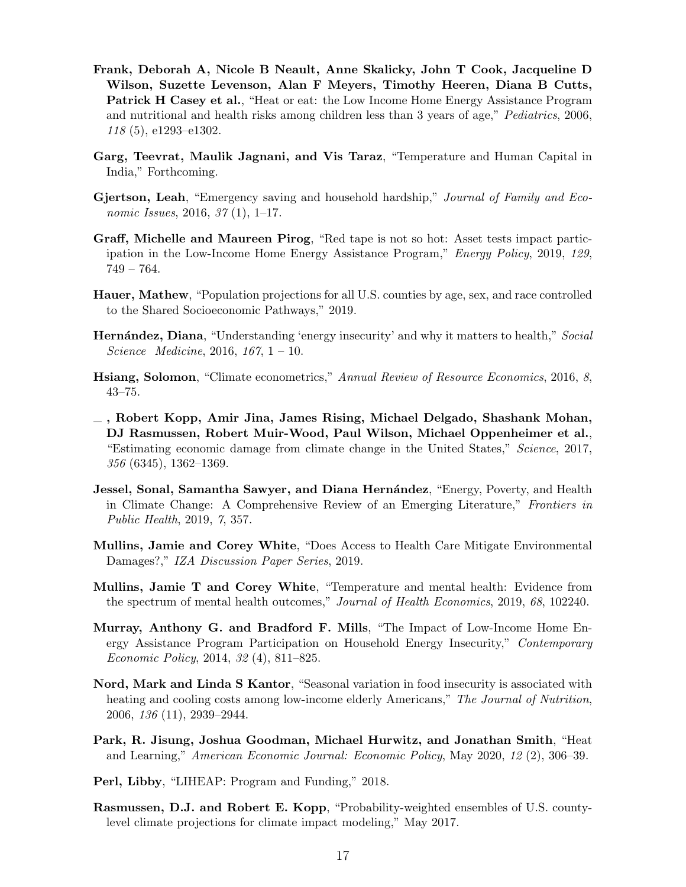- <span id="page-16-4"></span>Frank, Deborah A, Nicole B Neault, Anne Skalicky, John T Cook, Jacqueline D Wilson, Suzette Levenson, Alan F Meyers, Timothy Heeren, Diana B Cutts, Patrick H Casey et al., "Heat or eat: the Low Income Home Energy Assistance Program and nutritional and health risks among children less than 3 years of age," Pediatrics, 2006, 118 (5), e1293–e1302.
- <span id="page-16-7"></span>Garg, Teevrat, Maulik Jagnani, and Vis Taraz, "Temperature and Human Capital in India," Forthcoming.
- <span id="page-16-10"></span>Gjertson, Leah, "Emergency saving and household hardship," Journal of Family and Economic Issues, 2016, 37 (1), 1–17.
- <span id="page-16-13"></span>Graff, Michelle and Maureen Pirog, "Red tape is not so hot: Asset tests impact participation in the Low-Income Home Energy Assistance Program," Energy Policy, 2019, 129, 749 – 764.
- <span id="page-16-15"></span>Hauer, Mathew, "Population projections for all U.S. counties by age, sex, and race controlled to the Shared Socioeconomic Pathways," 2019.
- <span id="page-16-9"></span>**Hernández, Diana**, "Understanding 'energy insecurity' and why it matters to health," Social Science Medicine, 2016, 167, 1 – 10.
- <span id="page-16-12"></span>Hsiang, Solomon, "Climate econometrics," Annual Review of Resource Economics, 2016, 8, 43–75.
- <span id="page-16-8"></span>, Robert Kopp, Amir Jina, James Rising, Michael Delgado, Shashank Mohan, DJ Rasmussen, Robert Muir-Wood, Paul Wilson, Michael Oppenheimer et al., "Estimating economic damage from climate change in the United States," Science, 2017, 356 (6345), 1362–1369.
- <span id="page-16-0"></span>**Jessel, Sonal, Samantha Sawyer, and Diana Hernández**, "Energy, Poverty, and Health in Climate Change: A Comprehensive Review of an Emerging Literature," Frontiers in Public Health, 2019, 7, 357.
- <span id="page-16-6"></span>Mullins, Jamie and Corey White, "Does Access to Health Care Mitigate Environmental Damages?," IZA Discussion Paper Series, 2019.
- <span id="page-16-1"></span>Mullins, Jamie T and Corey White, "Temperature and mental health: Evidence from the spectrum of mental health outcomes," Journal of Health Economics, 2019, 68, 102240.
- <span id="page-16-11"></span>Murray, Anthony G. and Bradford F. Mills, "The Impact of Low-Income Home Energy Assistance Program Participation on Household Energy Insecurity," Contemporary Economic Policy, 2014, 32 (4), 811–825.
- <span id="page-16-5"></span>Nord, Mark and Linda S Kantor, "Seasonal variation in food insecurity is associated with heating and cooling costs among low-income elderly Americans," The Journal of Nutrition, 2006, 136 (11), 2939–2944.
- <span id="page-16-2"></span>Park, R. Jisung, Joshua Goodman, Michael Hurwitz, and Jonathan Smith, "Heat and Learning," American Economic Journal: Economic Policy, May 2020, 12 (2), 306–39.
- <span id="page-16-3"></span>Perl, Libby, "LIHEAP: Program and Funding," 2018.
- <span id="page-16-14"></span>Rasmussen, D.J. and Robert E. Kopp, "Probability-weighted ensembles of U.S. countylevel climate projections for climate impact modeling," May 2017.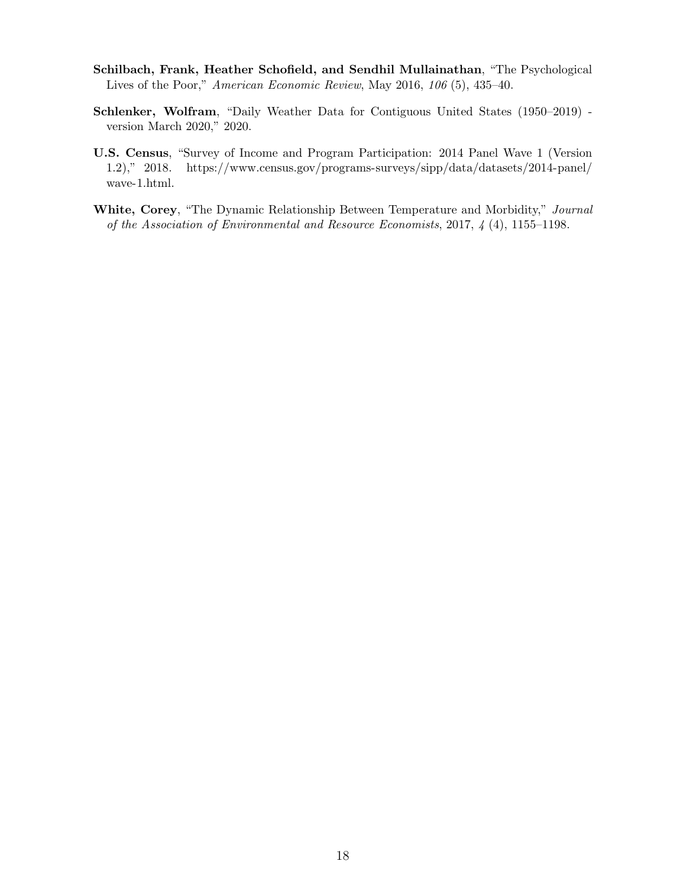- <span id="page-17-2"></span>Schilbach, Frank, Heather Schofield, and Sendhil Mullainathan, "The Psychological Lives of the Poor," American Economic Review, May 2016, 106 (5), 435–40.
- <span id="page-17-3"></span>Schlenker, Wolfram, "Daily Weather Data for Contiguous United States (1950–2019) version March 2020," 2020.
- <span id="page-17-1"></span>U.S. Census, "Survey of Income and Program Participation: 2014 Panel Wave 1 (Version 1.2)," 2018. [https://www.census.gov/programs-surveys/sipp/data/datasets/2014-panel/](https://www.census.gov/programs-surveys/sipp/data/datasets/2014-panel/wave-1.html) [wave-1.html.](https://www.census.gov/programs-surveys/sipp/data/datasets/2014-panel/wave-1.html)
- <span id="page-17-0"></span>White, Corey, "The Dynamic Relationship Between Temperature and Morbidity," Journal of the Association of Environmental and Resource Economists, 2017, 4 (4), 1155–1198.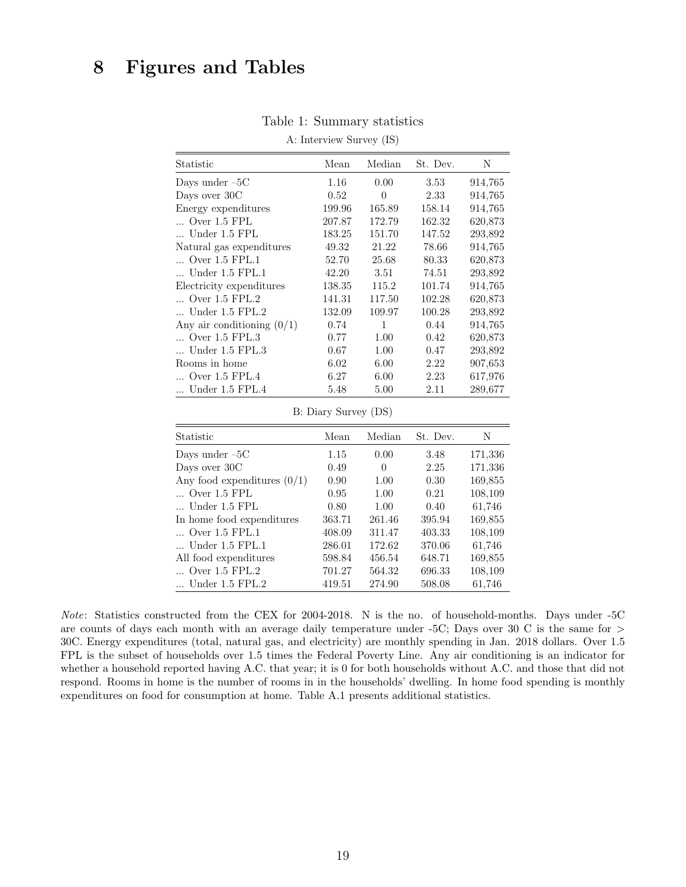# 8 Figures and Tables

| Statistic                    | Mean                 | Median                              | St. Dev.                | Ν         |
|------------------------------|----------------------|-------------------------------------|-------------------------|-----------|
| Days under $-5C$             | 1.16                 | 0.00                                | 3.53                    | 914,765   |
| Days over 30C                | 0.52                 | $\theta$                            | 2.33                    | 914,765   |
| Energy expenditures          | 199.96               | 165.89                              | 158.14                  | 914,765   |
| Over 1.5 FPL                 | 207.87               | 172.79                              | 162.32                  | 620,873   |
| Under 1.5 FPL                | 183.25               | 151.70                              | 147.52                  | 293,892   |
| Natural gas expenditures     | 49.32                | 21.22                               | 78.66                   | 914,765   |
| Over 1.5 FPL.1               | 52.70                | 25.68                               | 80.33                   | 620,873   |
| Under 1.5 FPL.1              | 42.20                | 3.51                                | 74.51                   | 293,892   |
| Electricity expenditures     | 138.35               | 115.2                               | 101.74                  | 914,765   |
| $\ldots$ Over 1.5 FPL.2      | 141.31               | 117.50                              | 102.28                  | 620,873   |
| Under 1.5 FPL.2              | 132.09               | 109.97                              | 100.28                  | 293,892   |
| Any air conditioning $(0/1)$ | 0.74                 | 1                                   | 0.44                    | 914,765   |
| $\ldots$ Over 1.5 FPL.3      | 0.77                 | 1.00                                | 0.42                    | 620,873   |
| Under 1.5 FPL.3              | 0.67                 | 1.00                                | 0.47                    | 293,892   |
| Rooms in home                | 6.02                 | 6.00                                | 2.22                    | 907,653   |
| Over 1.5 FPL.4               | 6.27                 | 6.00                                | 2.23                    | 617,976   |
| Under 1.5 FPL.4              | 5.48                 | 5.00                                | 2.11                    | 289,677   |
|                              | B: Diary Survey (DS) |                                     |                         |           |
| $C_{1}$ , $C_{2}$ , $C_{3}$  |                      | $M_{\odot}$ $M_{\odot}$ $M_{\odot}$ | $\alpha$ $\mathbf{D}$ . | <b>NT</b> |

<span id="page-18-0"></span>Table 1: Summary statistics A: Interview Survey (IS)

| Statistic                     | Mean   | Median | St. Dev. | N       |
|-------------------------------|--------|--------|----------|---------|
| Days under $-5C$              | 1.15   | 0.00   | 3.48     | 171,336 |
| Days over 30C                 | 0.49   | 0      | 2.25     | 171,336 |
| Any food expenditures $(0/1)$ | 0.90   | 1.00   | 0.30     | 169,855 |
| Over 1.5 FPL                  | 0.95   | 1.00   | 0.21     | 108,109 |
| Under 1.5 FPL                 | 0.80   | 1.00   | 0.40     | 61,746  |
| In home food expenditures     | 363.71 | 261.46 | 395.94   | 169,855 |
| Over 1.5 FPL.1                | 408.09 | 311.47 | 403.33   | 108,109 |
| Under 1.5 FPL.1               | 286.01 | 172.62 | 370.06   | 61,746  |
| All food expenditures         | 598.84 | 456.54 | 648.71   | 169,855 |
| $\ldots$ Over 1.5 FPL.2       | 701.27 | 564.32 | 696.33   | 108,109 |
| Under 1.5 FPL.2               | 419.51 | 274.90 | 508.08   | 61,746  |
|                               |        |        |          |         |

Note: Statistics constructed from the CEX for 2004-2018. N is the no. of household-months. Days under -5C are counts of days each month with an average daily temperature under -5C; Days over 30 C is the same for  $>$ 30C. Energy expenditures (total, natural gas, and electricity) are monthly spending in Jan. 2018 dollars. Over 1.5 FPL is the subset of households over 1.5 times the Federal Poverty Line. Any air conditioning is an indicator for whether a household reported having A.C. that year; it is 0 for both households without A.C. and those that did not respond. Rooms in home is the number of rooms in in the households' dwelling. In home food spending is monthly expenditures on food for consumption at home. Table [A.1](#page-18-0) presents additional statistics.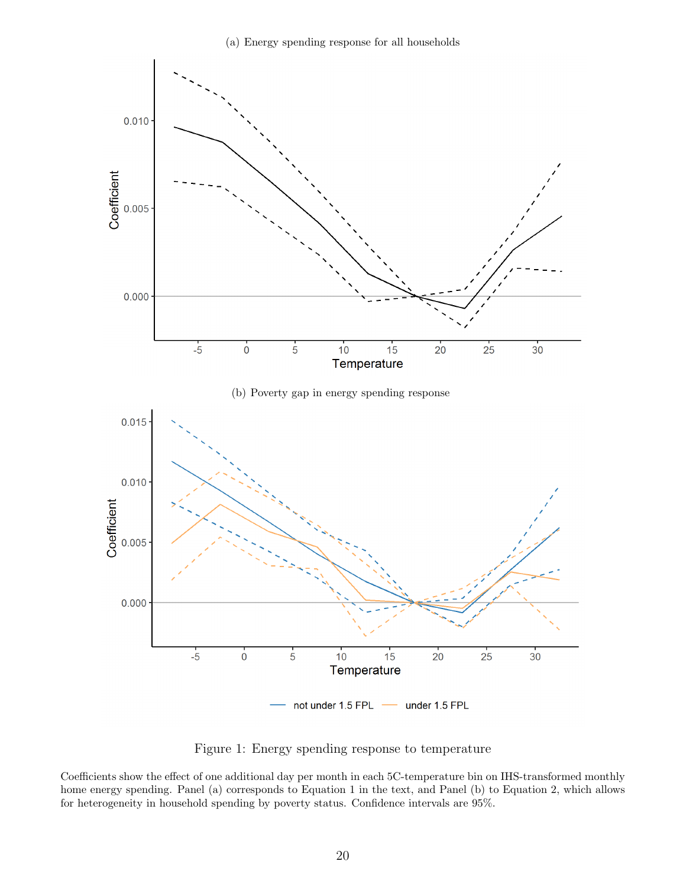

<span id="page-19-0"></span>Figure 1: Energy spending response to temperature

Coefficients show the effect of one additional day per month in each 5C-temperature bin on IHS-transformed monthly home energy spending. Panel (a) corresponds to Equation [1](#page-7-1) in the text, and Panel (b) to Equation [2,](#page-7-0) which allows for heterogeneity in household spending by poverty status. Confidence intervals are 95%.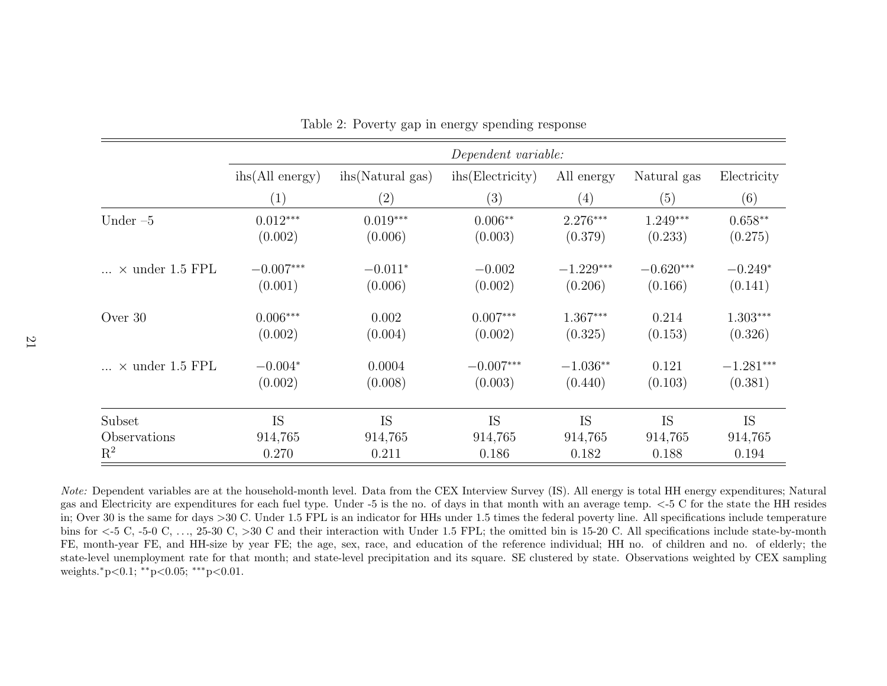|                          |                 | Dependent variable: |                               |             |             |             |  |  |  |  |
|--------------------------|-----------------|---------------------|-------------------------------|-------------|-------------|-------------|--|--|--|--|
|                          | ihs(All energy) | ihs (Natural gas)   | i <sub>hs</sub> (Electricity) | All energy  | Natural gas | Electricity |  |  |  |  |
|                          | (1)             | $\left( 2\right)$   | (3)                           | (4)         | (5)         | (6)         |  |  |  |  |
| Under $-5$               | $0.012***$      | $0.019***$          | $0.006**$                     | $2.276***$  | $1.249***$  | $0.658**$   |  |  |  |  |
|                          | (0.002)         | (0.006)             | (0.003)                       | (0.379)     | (0.233)     | (0.275)     |  |  |  |  |
| $\ldots$ × under 1.5 FPL | $-0.007***$     | $-0.011*$           | $-0.002$                      | $-1.229***$ | $-0.620***$ | $-0.249*$   |  |  |  |  |
|                          | (0.001)         | (0.006)             | (0.002)                       | (0.206)     | (0.166)     | (0.141)     |  |  |  |  |
| Over 30                  | $0.006***$      | 0.002               | $0.007***$                    | $1.367***$  | 0.214       | $1.303***$  |  |  |  |  |
|                          | (0.002)         | (0.004)             | (0.002)                       | (0.325)     | (0.153)     | (0.326)     |  |  |  |  |
| $\ldots$ × under 1.5 FPL | $-0.004*$       | 0.0004              | $-0.007***$                   | $-1.036**$  | 0.121       | $-1.281***$ |  |  |  |  |
|                          | (0.002)         | (0.008)             | (0.003)                       | (0.440)     | (0.103)     | (0.381)     |  |  |  |  |
| Subset                   | <b>IS</b>       | <b>IS</b>           | <b>IS</b>                     | <b>IS</b>   | <b>IS</b>   | <b>IS</b>   |  |  |  |  |
| Observations             | 914,765         | 914,765             | 914,765                       | 914,765     | 914,765     | 914,765     |  |  |  |  |
| $\mathbf{R}^2$           | 0.270           | 0.211               | 0.186                         | 0.182       | 0.188       | 0.194       |  |  |  |  |

<span id="page-20-0"></span>Table 2: Poverty gap in energy spending response

Note: Dependent variables are at the household-month level. Data from the CEX Interview Survey (IS). All energy is total HH energy expenditures; Natural gas and Electricity are expenditures for each fuel type. Under -5 is the no. of days in that month with an average temp. <sup>&</sup>lt;-5 C for the state the HH resides in; Over 30 is the same for days <sup>&</sup>gt;<sup>30</sup> C. Under 1.5 FPL is an indicator for HHs under 1.5 times the federal poverty line. All specifications include temperature bins for <sup>&</sup>lt;-5 C, -5-0 C, . . ., 25-30 C, <sup>&</sup>gt;<sup>30</sup> <sup>C</sup> and their interaction with Under 1.5 FPL; the omitted bin is 15-20 C. All specifications include state-by-month FE, month-year FE, and HH-size by year FE; the age, sex, race, and education of the reference individual; HH no. of children and no. of elderly; the state-level unemployment rate for that month; and state-level precipitation and its square. SE clustered by state. Observations weighted by CEX samplingweights.<sup>∗</sup>p<sup>&</sup>lt;0.1; ∗∗p<sup>&</sup>lt;0.05; ∗∗∗p<0.01.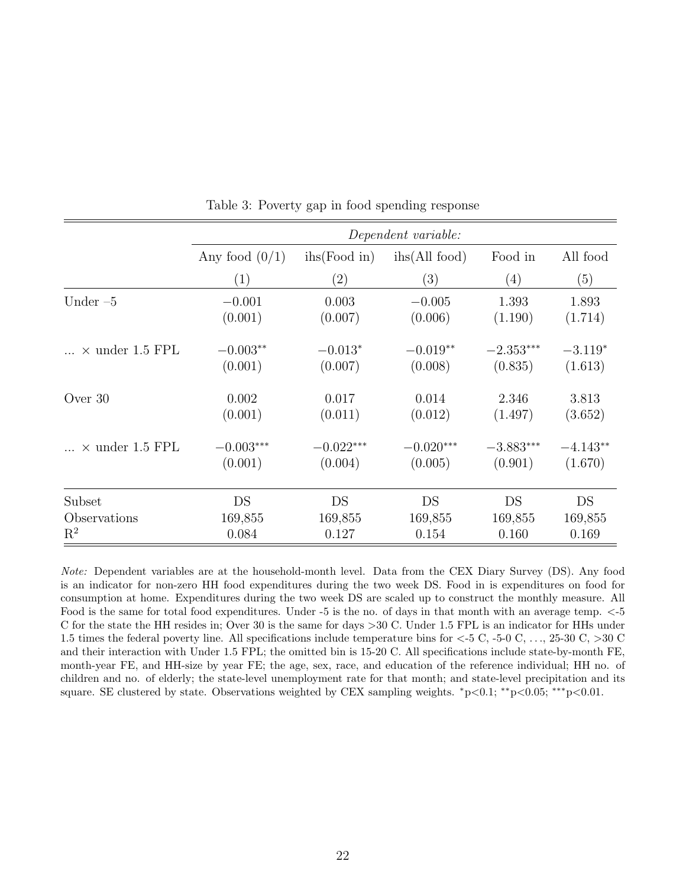|                          |                  | Dependent variable:          |                        |             |            |  |  |  |  |
|--------------------------|------------------|------------------------------|------------------------|-------------|------------|--|--|--|--|
|                          | Any food $(0/1)$ | $i\text{hs}(\text{Food in})$ | $i\text{hs}(All food)$ | Food in     | All food   |  |  |  |  |
|                          | (1)              | $\left( 2\right)$            | (3)                    | (4)         | (5)        |  |  |  |  |
| Under $-5$               | $-0.001$         | 0.003                        | $-0.005$               | 1.393       | 1.893      |  |  |  |  |
|                          | (0.001)          | (0.007)                      | (0.006)                | (1.190)     | (1.714)    |  |  |  |  |
| $\ldots$ × under 1.5 FPL | $-0.003**$       | $-0.013*$                    | $-0.019**$             | $-2.353***$ | $-3.119*$  |  |  |  |  |
|                          | (0.001)          | (0.007)                      | (0.008)                | (0.835)     | (1.613)    |  |  |  |  |
| Over 30                  | 0.002            | 0.017                        | 0.014                  | 2.346       | 3.813      |  |  |  |  |
|                          | (0.001)          | (0.011)                      | (0.012)                | (1.497)     | (3.652)    |  |  |  |  |
| $\times$ under 1.5 FPL   | $-0.003***$      | $-0.022***$                  | $-0.020***$            | $-3.883***$ | $-4.143**$ |  |  |  |  |
|                          | (0.001)          | (0.004)                      | (0.005)                | (0.901)     | (1.670)    |  |  |  |  |
| Subset                   | DS               | DS                           | DS                     | DS          | DS         |  |  |  |  |
| Observations             | 169,855          | 169,855                      | 169,855                | 169,855     | 169,855    |  |  |  |  |
| $\mathbf{R}^2$           | 0.084            | 0.127                        | 0.154                  | 0.160       | 0.169      |  |  |  |  |

<span id="page-21-0"></span>Table 3: Poverty gap in food spending response

Note: Dependent variables are at the household-month level. Data from the CEX Diary Survey (DS). Any food is an indicator for non-zero HH food expenditures during the two week DS. Food in is expenditures on food for consumption at home. Expenditures during the two week DS are scaled up to construct the monthly measure. All Food is the same for total food expenditures. Under -5 is the no. of days in that month with an average temp. <-5 C for the state the HH resides in; Over 30 is the same for days >30 C. Under 1.5 FPL is an indicator for HHs under 1.5 times the federal poverty line. All specifications include temperature bins for  $\lt$ -5 C, -5-0 C, ..., 25-30 C, >30 C and their interaction with Under 1.5 FPL; the omitted bin is 15-20 C. All specifications include state-by-month FE, month-year FE, and HH-size by year FE; the age, sex, race, and education of the reference individual; HH no. of children and no. of elderly; the state-level unemployment rate for that month; and state-level precipitation and its square. SE clustered by state. Observations weighted by CEX sampling weights.  $*p<0.1; **p<0.05; **p<0.01$ .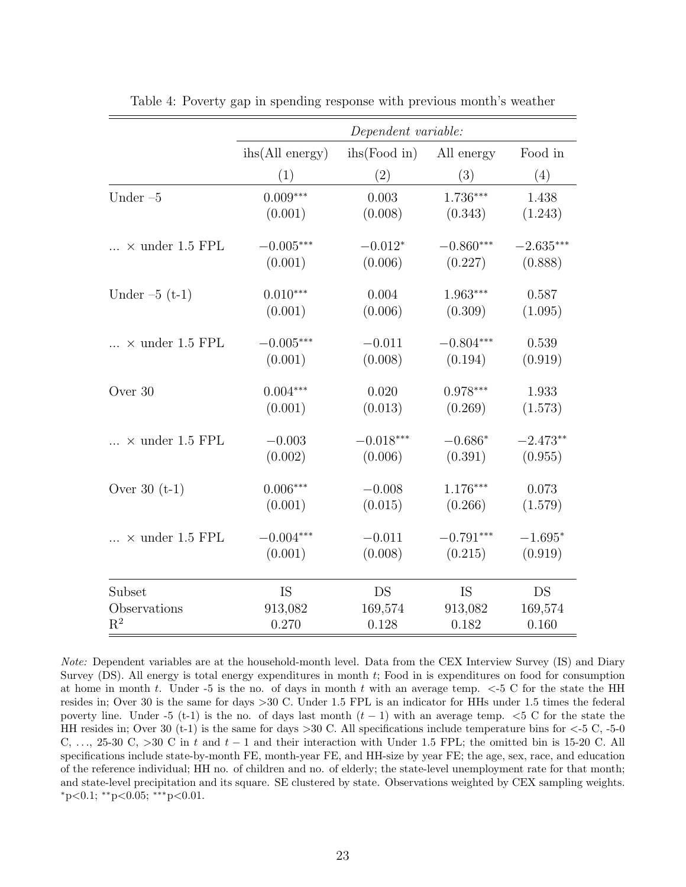|                          |                          | Dependent variable:          |             |             |  |  |  |  |
|--------------------------|--------------------------|------------------------------|-------------|-------------|--|--|--|--|
|                          | $i\text{hs}(All energy)$ | $i\text{hs}(\text{Food in})$ | All energy  | Food in     |  |  |  |  |
|                          | (1)                      | (2)                          | (3)         | (4)         |  |  |  |  |
| Under $-5$               | $0.009***$               | 0.003                        | $1.736***$  | 1.438       |  |  |  |  |
|                          | (0.001)                  | (0.008)                      | (0.343)     | (1.243)     |  |  |  |  |
| $\times$ under 1.5 FPL   | $-0.005***$              | $-0.012*$                    | $-0.860***$ | $-2.635***$ |  |  |  |  |
|                          | (0.001)                  | (0.006)                      | (0.227)     | (0.888)     |  |  |  |  |
| Under $-5$ (t-1)         | $0.010***$               | 0.004                        | $1.963***$  | 0.587       |  |  |  |  |
|                          | (0.001)                  | (0.006)                      | (0.309)     | (1.095)     |  |  |  |  |
| $\ldots$ × under 1.5 FPL | $-0.005***$              | $-0.011$                     | $-0.804***$ | 0.539       |  |  |  |  |
|                          | (0.001)                  | (0.008)                      | (0.194)     | (0.919)     |  |  |  |  |
| Over 30                  | $0.004***$               | 0.020                        | $0.978***$  | 1.933       |  |  |  |  |
|                          | (0.001)                  | (0.013)                      | (0.269)     | (1.573)     |  |  |  |  |
| $\times$ under 1.5 FPL   | $-0.003$                 | $-0.018***$                  | $-0.686*$   | $-2.473**$  |  |  |  |  |
|                          | (0.002)                  | (0.006)                      | (0.391)     | (0.955)     |  |  |  |  |
| Over $30$ (t-1)          | $0.006***$               | $-0.008$                     | $1.176***$  | 0.073       |  |  |  |  |
|                          | (0.001)                  | (0.015)                      | (0.266)     | (1.579)     |  |  |  |  |
| $\ldots$ × under 1.5 FPL | $-0.004***$              | $-0.011$                     | $-0.791***$ | $-1.695*$   |  |  |  |  |
|                          | (0.001)                  | (0.008)                      | (0.215)     | (0.919)     |  |  |  |  |
| Subset                   | IS                       | <b>DS</b>                    | <b>IS</b>   | <b>DS</b>   |  |  |  |  |
| Observations             | 913,082                  | 169,574                      | 913,082     | 169,574     |  |  |  |  |
| $R^2$                    | 0.270                    | 0.128                        | 0.182       | 0.160       |  |  |  |  |

<span id="page-22-0"></span>Table 4: Poverty gap in spending response with previous month's weather

Note: Dependent variables are at the household-month level. Data from the CEX Interview Survey (IS) and Diary Survey (DS). All energy is total energy expenditures in month t; Food in is expenditures on food for consumption at home in month t. Under -5 is the no. of days in month t with an average temp.  $\lt$ -5 C for the state the HH resides in; Over 30 is the same for days >30 C. Under 1.5 FPL is an indicator for HHs under 1.5 times the federal poverty line. Under -5 (t-1) is the no. of days last month  $(t-1)$  with an average temp. <5 C for the state the HH resides in; Over 30 (t-1) is the same for days >30 C. All specifications include temperature bins for <-5 C, -5-0 C, ..., 25-30 C, >30 C in t and t – 1 and their interaction with Under 1.5 FPL; the omitted bin is 15-20 C. All specifications include state-by-month FE, month-year FE, and HH-size by year FE; the age, sex, race, and education of the reference individual; HH no. of children and no. of elderly; the state-level unemployment rate for that month; and state-level precipitation and its square. SE clustered by state. Observations weighted by CEX sampling weights.  $*_{p<0.1;}$  \*\* $_{p<0.05;}$  \*\*\* $_{p<0.01.}$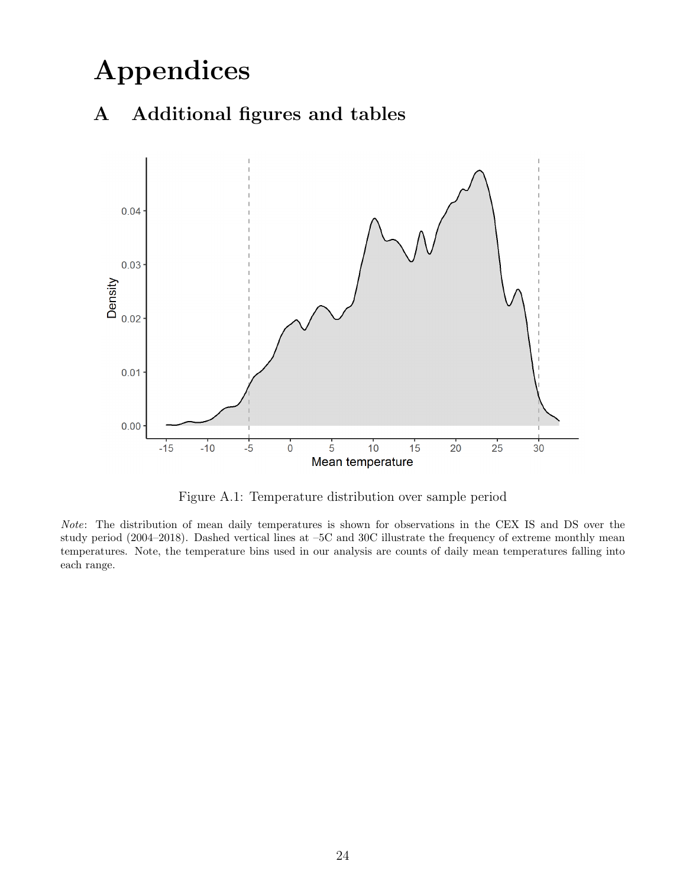# Appendices

# A Additional figures and tables



Figure A.1: Temperature distribution over sample period

Note: The distribution of mean daily temperatures is shown for observations in the CEX IS and DS over the study period (2004–2018). Dashed vertical lines at –5C and 30C illustrate the frequency of extreme monthly mean temperatures. Note, the temperature bins used in our analysis are counts of daily mean temperatures falling into each range.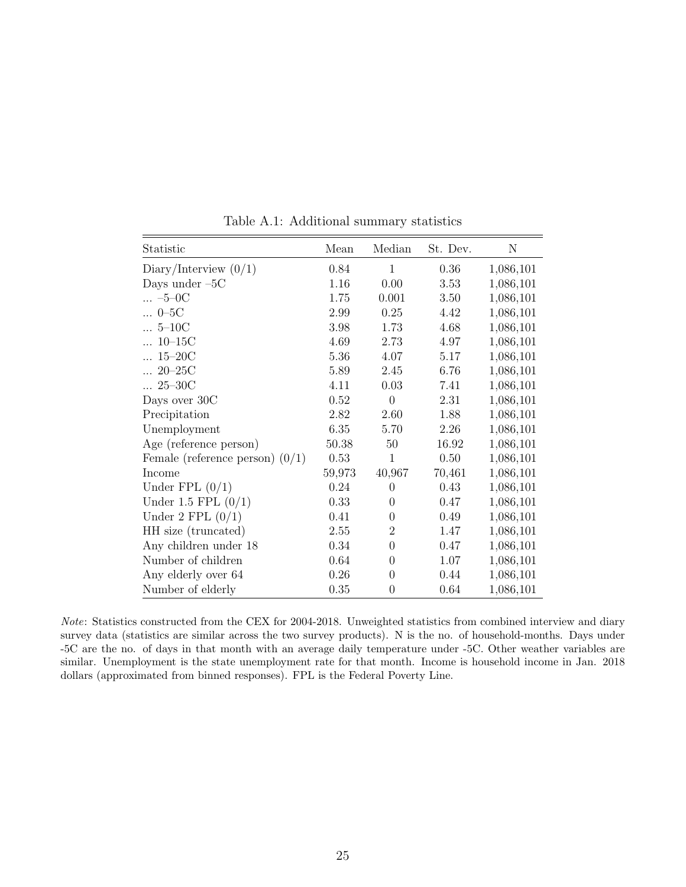| Statistic                         | Mean   | Median         | St. Dev. | N         |
|-----------------------------------|--------|----------------|----------|-----------|
| Diary/Interview $(0/1)$           | 0.84   | $\mathbf{1}$   | 0.36     | 1,086,101 |
| Days under $-5C$                  | 1.16   | 0.00           | 3.53     | 1,086,101 |
| $ -5 -0C$                         | 1.75   | 0.001          | 3.50     | 1,086,101 |
| $ 0 - 5C$                         | 2.99   | 0.25           | 4.42     | 1,086,101 |
| $ 5-10C$                          | 3.98   | 1.73           | 4.68     | 1,086,101 |
| $10 - 15C$<br>$\dddotsc$          | 4.69   | 2.73           | 4.97     | 1,086,101 |
| $\ldots 15 - 20C$                 | 5.36   | 4.07           | 5.17     | 1,086,101 |
| $\ldots 20 - 25C$                 | 5.89   | 2.45           | 6.76     | 1,086,101 |
| $\ldots\ 25\text{--}30C$          | 4.11   | 0.03           | 7.41     | 1,086,101 |
| Days over 30C                     | 0.52   | $\overline{0}$ | 2.31     | 1,086,101 |
| Precipitation                     | 2.82   | 2.60           | 1.88     | 1,086,101 |
| Unemployment                      | 6.35   | 5.70           | 2.26     | 1,086,101 |
| Age (reference person)            | 50.38  | 50             | 16.92    | 1,086,101 |
| Female (reference person) $(0/1)$ | 0.53   | $\mathbf{1}$   | 0.50     | 1,086,101 |
| Income                            | 59,973 | 40,967         | 70,461   | 1,086,101 |
| Under FPL $(0/1)$                 | 0.24   | $\theta$       | 0.43     | 1,086,101 |
| Under 1.5 FPL $(0/1)$             | 0.33   | $\theta$       | 0.47     | 1,086,101 |
| Under 2 FPL $(0/1)$               | 0.41   | $\theta$       | 0.49     | 1,086,101 |
| HH size (truncated)               | 2.55   | 2              | 1.47     | 1,086,101 |
| Any children under 18             | 0.34   | $\theta$       | 0.47     | 1,086,101 |
| Number of children                | 0.64   | 0              | 1.07     | 1,086,101 |
| Any elderly over 64               | 0.26   | $\overline{0}$ | 0.44     | 1,086,101 |
| Number of elderly                 | 0.35   | 0              | 0.64     | 1,086,101 |

Table A.1: Additional summary statistics

Note: Statistics constructed from the CEX for 2004-2018. Unweighted statistics from combined interview and diary survey data (statistics are similar across the two survey products). N is the no. of household-months. Days under -5C are the no. of days in that month with an average daily temperature under -5C. Other weather variables are similar. Unemployment is the state unemployment rate for that month. Income is household income in Jan. 2018 dollars (approximated from binned responses). FPL is the Federal Poverty Line.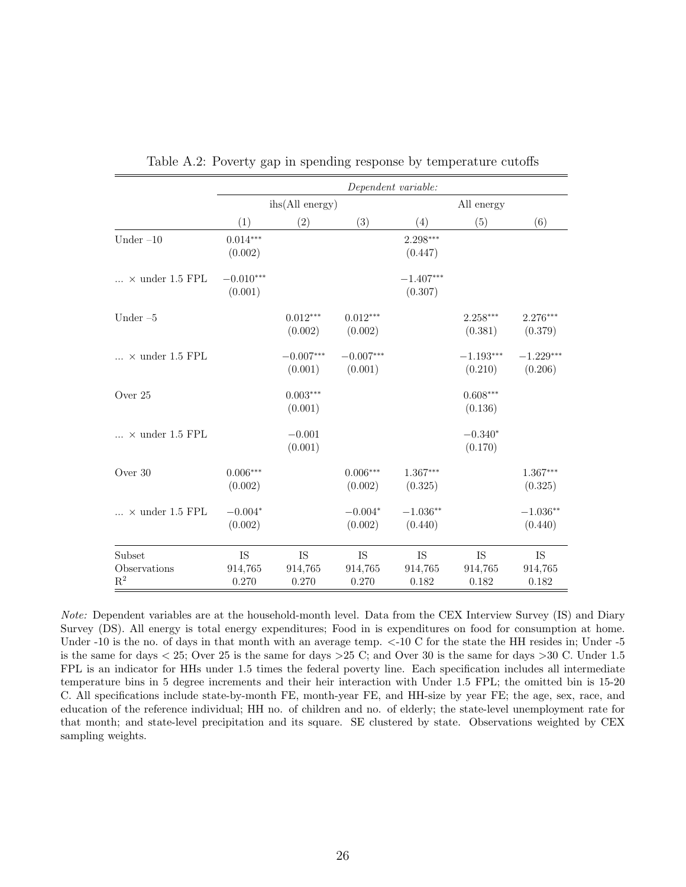|                                |                        |                        |                        | Dependent variable:    |                        |                        |
|--------------------------------|------------------------|------------------------|------------------------|------------------------|------------------------|------------------------|
|                                |                        | ihs(All energy)        |                        | All energy             |                        |                        |
|                                | (1)                    | (2)                    | (3)                    | (4)                    | (5)                    | (6)                    |
| Under $-10$                    | $0.014***$<br>(0.002)  |                        |                        | $2.298***$<br>(0.447)  |                        |                        |
| $\ldots$ × under 1.5 FPL       | $-0.010***$<br>(0.001) |                        |                        | $-1.407***$<br>(0.307) |                        |                        |
| Under $-5$                     |                        | $0.012***$<br>(0.002)  | $0.012***$<br>(0.002)  |                        | $2.258***$<br>(0.381)  | 2.276***<br>(0.379)    |
| $\ldots$ × under 1.5 FPL       |                        | $-0.007***$<br>(0.001) | $-0.007***$<br>(0.001) |                        | $-1.193***$<br>(0.210) | $-1.229***$<br>(0.206) |
| Over 25                        |                        | $0.003***$<br>(0.001)  |                        |                        | $0.608***$<br>(0.136)  |                        |
| $\ldots$ × under 1.5 FPL       |                        | $-0.001$<br>(0.001)    |                        |                        | $-0.340*$<br>(0.170)   |                        |
| Over $30$                      | $0.006***$<br>(0.002)  |                        | $0.006***$<br>(0.002)  | $1.367***$<br>(0.325)  |                        | $1.367***$<br>(0.325)  |
| $\ldots$ × under 1.5 FPL       | $-0.004*$<br>(0.002)   |                        | $-0.004*$<br>(0.002)   | $-1.036**$<br>(0.440)  |                        | $-1.036**$<br>(0.440)  |
| Subset                         | IS                     | IS                     | IS                     | IS                     | IS                     | <b>IS</b>              |
| Observations<br>$\mathbf{R}^2$ | 914,765<br>0.270       | 914,765<br>0.270       | 914,765<br>0.270       | 914,765<br>0.182       | 914,765<br>0.182       | 914,765<br>0.182       |

Table A.2: Poverty gap in spending response by temperature cutoffs

Note: Dependent variables are at the household-month level. Data from the CEX Interview Survey (IS) and Diary Survey (DS). All energy is total energy expenditures; Food in is expenditures on food for consumption at home. Under -10 is the no. of days in that month with an average temp.  $\lt$ -10 C for the state the HH resides in; Under -5 is the same for days  $\lt 25$ ; Over 25 is the same for days  $\gt 25$  C; and Over 30 is the same for days  $\gt 30$  C. Under 1.5 FPL is an indicator for HHs under 1.5 times the federal poverty line. Each specification includes all intermediate temperature bins in 5 degree increments and their heir interaction with Under 1.5 FPL; the omitted bin is 15-20 C. All specifications include state-by-month FE, month-year FE, and HH-size by year FE; the age, sex, race, and education of the reference individual; HH no. of children and no. of elderly; the state-level unemployment rate for that month; and state-level precipitation and its square. SE clustered by state. Observations weighted by CEX sampling weights.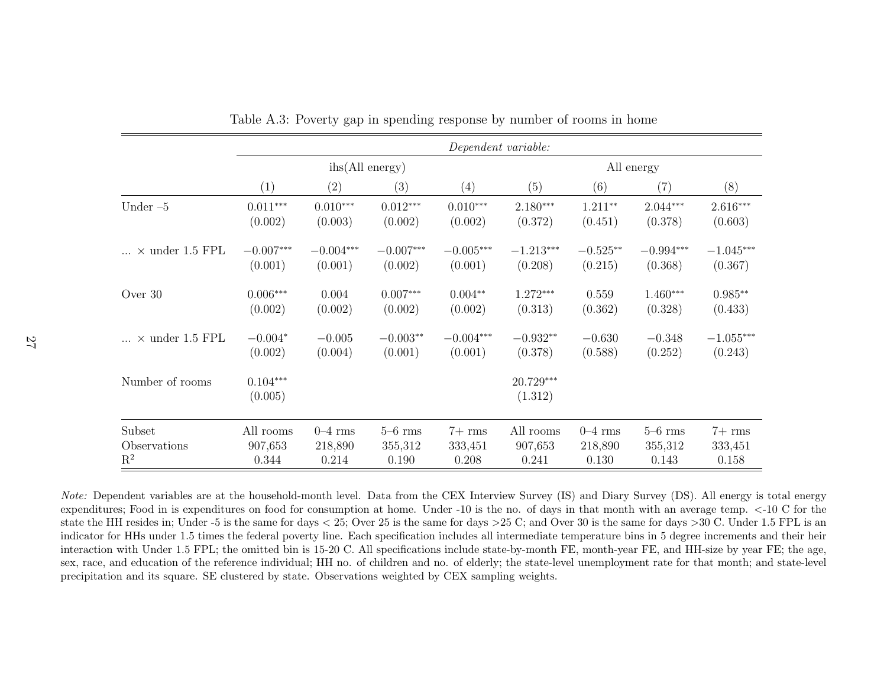|                          | Dependent variable:   |                 |             |             |                      |             |             |             |
|--------------------------|-----------------------|-----------------|-------------|-------------|----------------------|-------------|-------------|-------------|
|                          |                       | ihs(All energy) |             |             | All energy           |             |             |             |
|                          | (1)                   | (2)             | (3)         | (4)         | (5)                  | (6)         | (7)         | (8)         |
| Under $-5$               | $0.011***$            | $0.010***$      | $0.012***$  | $0.010***$  | $2.180***$           | $1.211**$   | $2.044***$  | $2.616***$  |
|                          | (0.002)               | (0.003)         | (0.002)     | (0.002)     | (0.372)              | (0.451)     | (0.378)     | (0.603)     |
| $\ldots$ × under 1.5 FPL | $-0.007***$           | $-0.004***$     | $-0.007***$ | $-0.005***$ | $-1.213***$          | $-0.525**$  | $-0.994***$ | $-1.045***$ |
|                          | (0.001)               | (0.001)         | (0.002)     | (0.001)     | (0.208)              | (0.215)     | (0.368)     | (0.367)     |
| Over 30                  | $0.006***$            | 0.004           | $0.007***$  | $0.004**$   | $1.272***$           | 0.559       | $1.460***$  | $0.985**$   |
|                          | (0.002)               | (0.002)         | (0.002)     | (0.002)     | (0.313)              | (0.362)     | (0.328)     | (0.433)     |
| $\ldots$ × under 1.5 FPL | $-0.004*$             | $-0.005$        | $-0.003**$  | $-0.004***$ | $-0.932**$           | $-0.630$    | $-0.348$    | $-1.055***$ |
|                          | (0.002)               | (0.004)         | (0.001)     | (0.001)     | (0.378)              | (0.588)     | (0.252)     | (0.243)     |
| Number of rooms          | $0.104***$<br>(0.005) |                 |             |             | 20.729***<br>(1.312) |             |             |             |
| Subset                   | All rooms             | $0 - 4$ rms     | $5-6$ rms   | $7+$ rms    | All rooms            | $0 - 4$ rms | $5-6$ rms   | $7+$ rms    |
| Observations             | 907,653               | 218,890         | 355,312     | 333,451     | 907,653              | 218,890     | 355,312     | 333,451     |
| $\mathbf{R}^2$           | 0.344                 | 0.214           | 0.190       | 0.208       | 0.241                | 0.130       | 0.143       | 0.158       |

Table A.3: Poverty gap in spending response by number of rooms in home

Note: Dependent variables are at the household-month level. Data from the CEX Interview Survey (IS) and Diary Survey (DS). All energy is total energy expenditures; Food in is expenditures on food for consumption at home. Under -10 is the no. of days in that month with an average temp.<-10 C for thestate the HH resides in; Under -5 is the same for days  $\lt 25$ ; Over 25 is the same for days  $>25$  C; and Over 30 is the same for days  $>30$  C. Under 1.5 FPL is an indicator for HHs under 1.5 times the federal poverty line. Each specification includes all intermediate temperature bins in 5 degree increments and their heir interaction with Under 1.5 FPL; the omitted bin is 15-20 C. All specifications include state-by-month FE, month-year FE, and HH-size by year FE; the age,sex, race, and education of the reference individual; HH no. of children and no. of elderly; the state-level unemployment rate for that month; and state-levelprecipitation and its square. SE clustered by state. Observations weighted by CEX sampling weights.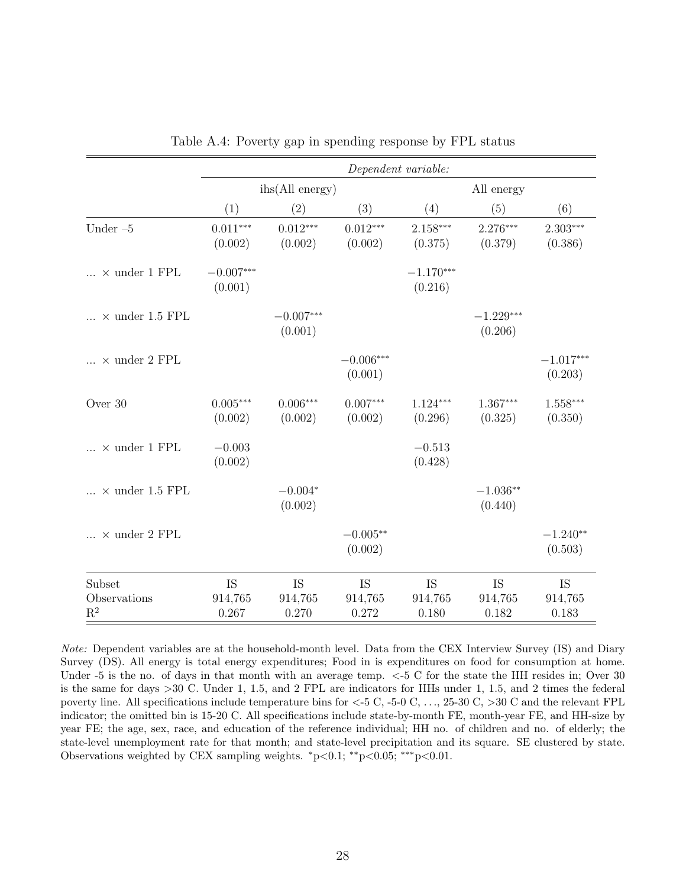|                                |                        |                        |                        | Dependent variable:    |                        |                        |  |
|--------------------------------|------------------------|------------------------|------------------------|------------------------|------------------------|------------------------|--|
|                                |                        | ihs(All energy)        |                        | All energy             |                        |                        |  |
|                                | (1)                    | (2)                    | (3)                    | (4)                    | (5)                    | (6)                    |  |
| Under $-5$                     | $0.011***$<br>(0.002)  | $0.012***$<br>(0.002)  | $0.012***$<br>(0.002)  | $2.158***$<br>(0.375)  | $2.276***$<br>(0.379)  | 2.303***<br>(0.386)    |  |
| $\ldots$ × under 1 FPL         | $-0.007***$<br>(0.001) |                        |                        | $-1.170***$<br>(0.216) |                        |                        |  |
| $\ldots$ × under 1.5 FPL       |                        | $-0.007***$<br>(0.001) |                        |                        | $-1.229***$<br>(0.206) |                        |  |
| $\ldots$ × under 2 FPL         |                        |                        | $-0.006***$<br>(0.001) |                        |                        | $-1.017***$<br>(0.203) |  |
| Over 30                        | $0.005***$<br>(0.002)  | $0.006***$<br>(0.002)  | $0.007***$<br>(0.002)  | $1.124***$<br>(0.296)  | $1.367***$<br>(0.325)  | $1.558***$<br>(0.350)  |  |
| $\ldots$ × under 1 FPL         | $-0.003$<br>(0.002)    |                        |                        | $-0.513$<br>(0.428)    |                        |                        |  |
| $\ldots$ × under 1.5 FPL       |                        | $-0.004*$<br>(0.002)   |                        |                        | $-1.036**$<br>(0.440)  |                        |  |
| $\ldots$ × under 2 FPL         |                        |                        | $-0.005**$<br>(0.002)  |                        |                        | $-1.240**$<br>(0.503)  |  |
| Subset                         | <b>IS</b>              | <b>IS</b>              | <b>IS</b>              | <b>IS</b>              | <b>IS</b>              | <b>IS</b>              |  |
| Observations<br>$\mathbf{R}^2$ | 914,765<br>0.267       | 914,765<br>0.270       | 914,765<br>0.272       | 914,765<br>0.180       | 914,765<br>0.182       | 914,765<br>0.183       |  |

| Table A.4: Poverty gap in spending response by FPL status |  |  |  |  |
|-----------------------------------------------------------|--|--|--|--|
|                                                           |  |  |  |  |

Note: Dependent variables are at the household-month level. Data from the CEX Interview Survey (IS) and Diary Survey (DS). All energy is total energy expenditures; Food in is expenditures on food for consumption at home. Under -5 is the no. of days in that month with an average temp.  $\lt$ -5 C for the state the HH resides in; Over 30 is the same for days >30 C. Under 1, 1.5, and 2 FPL are indicators for HHs under 1, 1.5, and 2 times the federal poverty line. All specifications include temperature bins for  $\lt$ -5 C, -5-0 C, ..., 25-30 C, >30 C and the relevant FPL indicator; the omitted bin is 15-20 C. All specifications include state-by-month FE, month-year FE, and HH-size by year FE; the age, sex, race, and education of the reference individual; HH no. of children and no. of elderly; the state-level unemployment rate for that month; and state-level precipitation and its square. SE clustered by state. Observations weighted by CEX sampling weights. <sup>∗</sup>p<0.1; ∗∗p<0.05; ∗∗∗p<0.01.